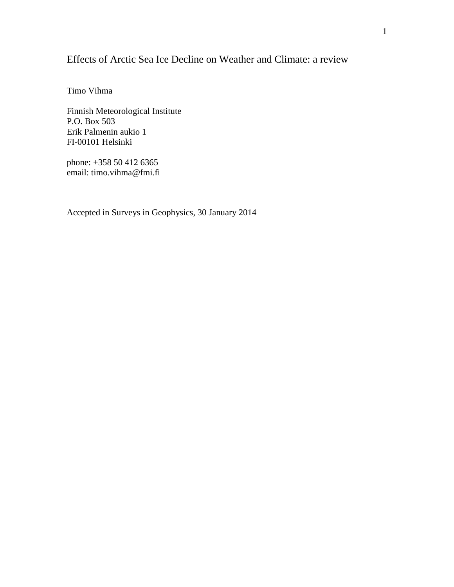# Effects of Arctic Sea Ice Decline on Weather and Climate: a review

Timo Vihma

Finnish Meteorological Institute P.O. Box 503 Erik Palmenin aukio 1 FI-00101 Helsinki

phone: +358 50 412 6365 email: [timo.vihma@fmi.fi](mailto:timo.vihma@fmi.fi)

Accepted in Surveys in Geophysics, 30 January 2014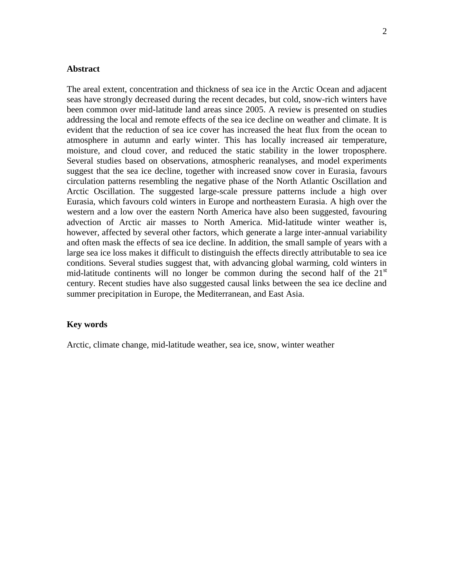## **Abstract**

The areal extent, concentration and thickness of sea ice in the Arctic Ocean and adjacent seas have strongly decreased during the recent decades, but cold, snow-rich winters have been common over mid-latitude land areas since 2005. A review is presented on studies addressing the local and remote effects of the sea ice decline on weather and climate. It is evident that the reduction of sea ice cover has increased the heat flux from the ocean to atmosphere in autumn and early winter. This has locally increased air temperature, moisture, and cloud cover, and reduced the static stability in the lower troposphere. Several studies based on observations, atmospheric reanalyses, and model experiments suggest that the sea ice decline, together with increased snow cover in Eurasia, favours circulation patterns resembling the negative phase of the North Atlantic Oscillation and Arctic Oscillation. The suggested large-scale pressure patterns include a high over Eurasia, which favours cold winters in Europe and northeastern Eurasia. A high over the western and a low over the eastern North America have also been suggested, favouring advection of Arctic air masses to North America. Mid-latitude winter weather is, however, affected by several other factors, which generate a large inter-annual variability and often mask the effects of sea ice decline. In addition, the small sample of years with a large sea ice loss makes it difficult to distinguish the effects directly attributable to sea ice conditions. Several studies suggest that, with advancing global warming, cold winters in mid-latitude continents will no longer be common during the second half of the  $21<sup>st</sup>$ century. Recent studies have also suggested causal links between the sea ice decline and summer precipitation in Europe, the Mediterranean, and East Asia.

## **Key words**

Arctic, climate change, mid-latitude weather, sea ice, snow, winter weather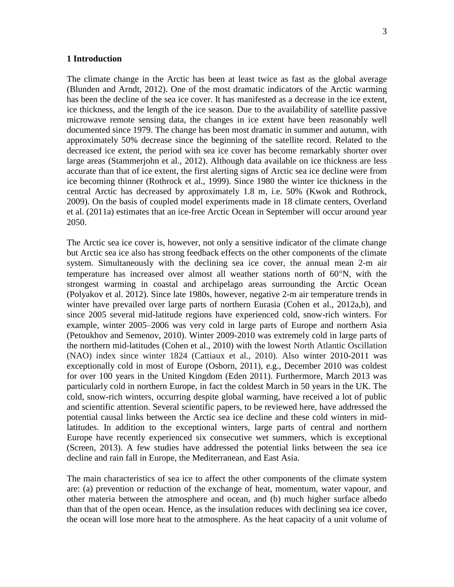#### **1 Introduction**

The climate change in the Arctic has been at least twice as fast as the global average (Blunden and Arndt, 2012). One of the most dramatic indicators of the Arctic warming has been the decline of the sea ice cover. It has manifested as a decrease in the ice extent, ice thickness, and the length of the ice season. Due to the availability of satellite passive microwave remote sensing data, the changes in ice extent have been reasonably well documented since 1979. The change has been most dramatic in summer and autumn, with approximately 50% decrease since the beginning of the satellite record. Related to the decreased ice extent, the period with sea ice cover has become remarkably shorter over large areas (Stammerjohn et al., 2012). Although data available on ice thickness are less accurate than that of ice extent, the first alerting signs of Arctic sea ice decline were from ice becoming thinner (Rothrock et al., 1999). Since 1980 the winter ice thickness in the central Arctic has decreased by approximately 1.8 m, i.e. 50% (Kwok and Rothrock, 2009). On the basis of coupled model experiments made in 18 climate centers, Overland et al. (2011a) estimates that an ice-free Arctic Ocean in September will occur around year 2050.

The Arctic sea ice cover is, however, not only a sensitive indicator of the climate change but Arctic sea ice also has strong feedback effects on the other components of the climate system. Simultaneously with the declining sea ice cover, the annual mean 2-m air temperature has increased over almost all weather stations north of  $60^{\circ}$ N, with the strongest warming in coastal and archipelago areas surrounding the Arctic Ocean (Polyakov et al. 2012). Since late 1980s, however, negative 2-m air temperature trends in winter have prevailed over large parts of northern Eurasia (Cohen et al., 2012a,b), and since 2005 several mid-latitude regions have experienced cold, snow-rich winters. For example, winter 2005–2006 was very cold in large parts of Europe and northern Asia (Petoukhov and Semenov, 2010). Winter 2009-2010 was extremely cold in large parts of the northern mid-latitudes (Cohen et al., 2010) with the lowest North Atlantic Oscillation (NAO) index since winter 1824 (Cattiaux et al., 2010). Also winter 2010-2011 was exceptionally cold in most of Europe (Osborn, 2011), e.g., December 2010 was coldest for over 100 years in the United Kingdom (Eden 2011). Furthermore, March 2013 was particularly cold in northern Europe, in fact the coldest March in 50 years in the UK. The cold, snow-rich winters, occurring despite global warming, have received a lot of public and scientific attention. Several scientific papers, to be reviewed here, have addressed the potential causal links between the Arctic sea ice decline and these cold winters in midlatitudes. In addition to the exceptional winters, large parts of central and northern Europe have recently experienced six consecutive wet summers, which is exceptional (Screen, 2013). A few studies have addressed the potential links between the sea ice decline and rain fall in Europe, the Mediterranean, and East Asia.

The main characteristics of sea ice to affect the other components of the climate system are: (a) prevention or reduction of the exchange of heat, momentum, water vapour, and other materia between the atmosphere and ocean, and (b) much higher surface albedo than that of the open ocean. Hence, as the insulation reduces with declining sea ice cover, the ocean will lose more heat to the atmosphere. As the heat capacity of a unit volume of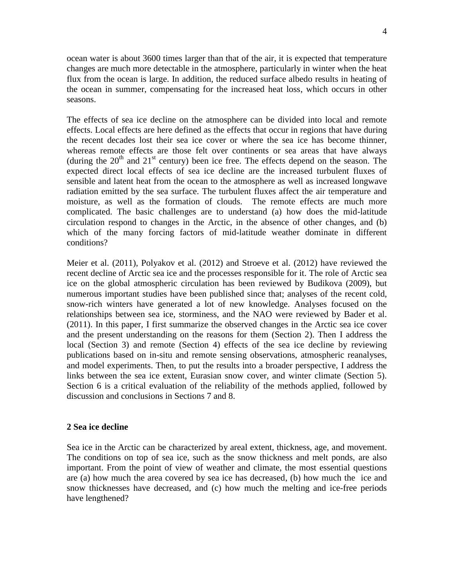ocean water is about 3600 times larger than that of the air, it is expected that temperature changes are much more detectable in the atmosphere, particularly in winter when the heat flux from the ocean is large. In addition, the reduced surface albedo results in heating of the ocean in summer, compensating for the increased heat loss, which occurs in other seasons.

The effects of sea ice decline on the atmosphere can be divided into local and remote effects. Local effects are here defined as the effects that occur in regions that have during the recent decades lost their sea ice cover or where the sea ice has become thinner, whereas remote effects are those felt over continents or sea areas that have always (during the  $20<sup>th</sup>$  and  $21<sup>st</sup>$  century) been ice free. The effects depend on the season. The expected direct local effects of sea ice decline are the increased turbulent fluxes of sensible and latent heat from the ocean to the atmosphere as well as increased longwave radiation emitted by the sea surface. The turbulent fluxes affect the air temperature and moisture, as well as the formation of clouds. The remote effects are much more complicated. The basic challenges are to understand (a) how does the mid-latitude circulation respond to changes in the Arctic, in the absence of other changes, and (b) which of the many forcing factors of mid-latitude weather dominate in different conditions?

Meier et al. (2011), Polyakov et al. (2012) and Stroeve et al. (2012) have reviewed the recent decline of Arctic sea ice and the processes responsible for it. The role of Arctic sea ice on the global atmospheric circulation has been reviewed by Budikova (2009), but numerous important studies have been published since that; analyses of the recent cold, snow-rich winters have generated a lot of new knowledge. Analyses focused on the relationships between sea ice, storminess, and the NAO were reviewed by Bader et al. (2011). In this paper, I first summarize the observed changes in the Arctic sea ice cover and the present understanding on the reasons for them (Section 2). Then I address the local (Section 3) and remote (Section 4) effects of the sea ice decline by reviewing publications based on in-situ and remote sensing observations, atmospheric reanalyses, and model experiments. Then, to put the results into a broader perspective, I address the links between the sea ice extent, Eurasian snow cover, and winter climate (Section 5). Section 6 is a critical evaluation of the reliability of the methods applied, followed by discussion and conclusions in Sections 7 and 8.

#### **2 Sea ice decline**

Sea ice in the Arctic can be characterized by areal extent, thickness, age, and movement. The conditions on top of sea ice, such as the snow thickness and melt ponds, are also important. From the point of view of weather and climate, the most essential questions are (a) how much the area covered by sea ice has decreased, (b) how much the ice and snow thicknesses have decreased, and (c) how much the melting and ice-free periods have lengthened?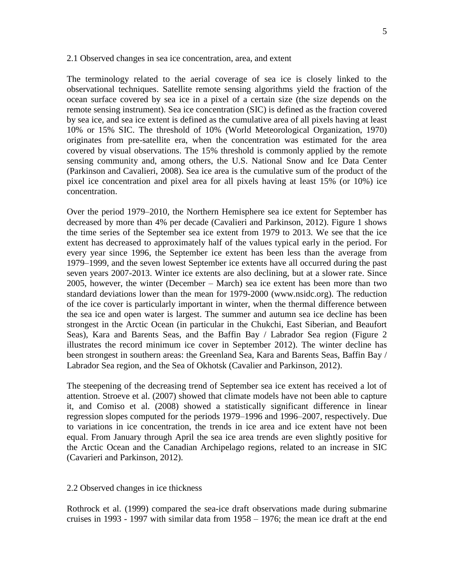#### 2.1 Observed changes in sea ice concentration, area, and extent

The terminology related to the aerial coverage of sea ice is closely linked to the observational techniques. Satellite remote sensing algorithms yield the fraction of the ocean surface covered by sea ice in a pixel of a certain size (the size depends on the remote sensing instrument). Sea ice concentration (SIC) is defined as the fraction covered by sea ice, and sea ice extent is defined as the cumulative area of all pixels having at least 10% or 15% SIC. The threshold of 10% (World Meteorological Organization, 1970) originates from pre-satellite era, when the concentration was estimated for the area covered by visual observations. The 15% threshold is commonly applied by the remote sensing community and, among others, the U.S. National Snow and Ice Data Center (Parkinson and Cavalieri, 2008). Sea ice area is the cumulative sum of the product of the pixel ice concentration and pixel area for all pixels having at least 15% (or 10%) ice concentration.

Over the period 1979–2010, the Northern Hemisphere sea ice extent for September has decreased by more than 4% per decade (Cavalieri and Parkinson, 2012). Figure 1 shows the time series of the September sea ice extent from 1979 to 2013. We see that the ice extent has decreased to approximately half of the values typical early in the period. For every year since 1996, the September ice extent has been less than the average from 1979–1999, and the seven lowest September ice extents have all occurred during the past seven years 2007-2013. Winter ice extents are also declining, but at a slower rate. Since 2005, however, the winter (December – March) sea ice extent has been more than two standard deviations lower than the mean for 1979-2000 (www.nsidc.org). The reduction of the ice cover is particularly important in winter, when the thermal difference between the sea ice and open water is largest. The summer and autumn sea ice decline has been strongest in the Arctic Ocean (in particular in the Chukchi, East Siberian, and Beaufort Seas), Kara and Barents Seas, and the Baffin Bay / Labrador Sea region (Figure 2 illustrates the record minimum ice cover in September 2012). The winter decline has been strongest in southern areas: the Greenland Sea, Kara and Barents Seas, Baffin Bay / Labrador Sea region, and the Sea of Okhotsk (Cavalier and Parkinson, 2012).

The steepening of the decreasing trend of September sea ice extent has received a lot of attention. Stroeve et al. (2007) showed that climate models have not been able to capture it, and Comiso et al. (2008) showed a statistically significant difference in linear regression slopes computed for the periods 1979–1996 and 1996–2007, respectively. Due to variations in ice concentration, the trends in ice area and ice extent have not been equal. From January through April the sea ice area trends are even slightly positive for the Arctic Ocean and the Canadian Archipelago regions, related to an increase in SIC (Cavarieri and Parkinson, 2012).

#### 2.2 Observed changes in ice thickness

Rothrock et al. (1999) compared the sea-ice draft observations made during submarine cruises in 1993 - 1997 with similar data from 1958 – 1976; the mean ice draft at the end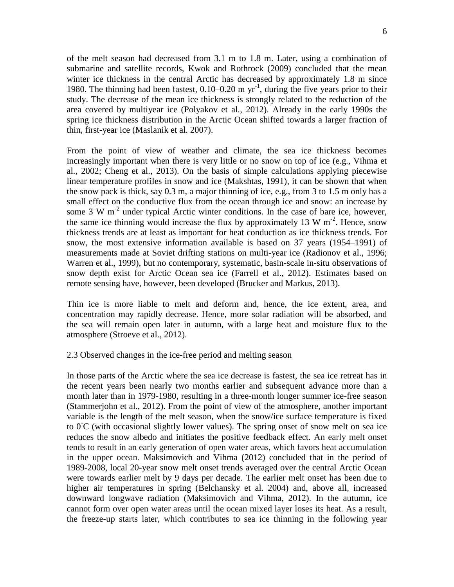of the melt season had decreased from 3.1 m to 1.8 m. Later, using a combination of submarine and satellite records, Kwok and Rothrock (2009) concluded that the mean winter ice thickness in the central Arctic has decreased by approximately 1.8 m since 1980. The thinning had been fastest,  $0.10-0.20$  m yr<sup>-1</sup>, during the five years prior to their study. The decrease of the mean ice thickness is strongly related to the reduction of the area covered by multiyear ice (Polyakov et al., 2012). Already in the early 1990s the spring ice thickness distribution in the Arctic Ocean shifted towards a larger fraction of thin, first-year ice (Maslanik et al. 2007).

From the point of view of weather and climate, the sea ice thickness becomes increasingly important when there is very little or no snow on top of ice (e.g., Vihma et al., 2002; Cheng et al., 2013). On the basis of simple calculations applying piecewise linear temperature profiles in snow and ice (Makshtas, 1991), it can be shown that when the snow pack is thick, say 0.3 m, a major thinning of ice, e.g., from 3 to 1.5 m only has a small effect on the conductive flux from the ocean through ice and snow: an increase by some 3 W  $m<sup>-2</sup>$  under typical Arctic winter conditions. In the case of bare ice, however, the same ice thinning would increase the flux by approximately 13 W  $m^{-2}$ . Hence, snow thickness trends are at least as important for heat conduction as ice thickness trends. For snow, the most extensive information available is based on 37 years (1954–1991) of measurements made at Soviet drifting stations on multi-year ice (Radionov et al., 1996; Warren et al., 1999), but no contemporary, systematic, basin-scale in-situ observations of snow depth exist for Arctic Ocean sea ice (Farrell et al., 2012). Estimates based on remote sensing have, however, been developed (Brucker and Markus, 2013).

Thin ice is more liable to melt and deform and, hence, the ice extent, area, and concentration may rapidly decrease. Hence, more solar radiation will be absorbed, and the sea will remain open later in autumn, with a large heat and moisture flux to the atmosphere (Stroeve et al., 2012).

## 2.3 Observed changes in the ice-free period and melting season

In those parts of the Arctic where the sea ice decrease is fastest, the sea ice retreat has in the recent years been nearly two months earlier and subsequent advance more than a month later than in 1979-1980, resulting in a three-month longer summer ice-free season (Stammerjohn et al., 2012). From the point of view of the atmosphere, another important variable is the length of the melt season, when the snow/ice surface temperature is fixed to  $0^{\circ}$ C (with occasional slightly lower values). The spring onset of snow melt on sea ice reduces the snow albedo and initiates the positive feedback effect. An early melt onset tends to result in an early generation of open water areas, which favors heat accumulation in the upper ocean. Maksimovich and Vihma (2012) concluded that in the period of 1989-2008, local 20-year snow melt onset trends averaged over the central Arctic Ocean were towards earlier melt by 9 days per decade. The earlier melt onset has been due to higher air temperatures in spring (Belchansky et al. 2004) and, above all, increased downward longwave radiation (Maksimovich and Vihma, 2012). In the autumn, ice cannot form over open water areas until the ocean mixed layer loses its heat. As a result, the freeze-up starts later, which contributes to sea ice thinning in the following year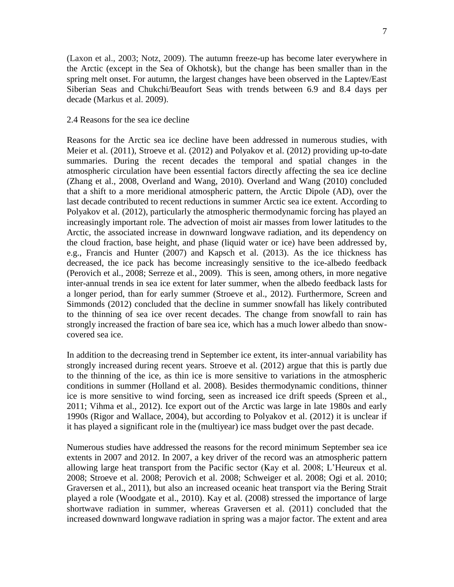(Laxon et al., 2003; Notz, 2009). The autumn freeze-up has become later everywhere in the Arctic (except in the Sea of Okhotsk), but the change has been smaller than in the spring melt onset. For autumn, the largest changes have been observed in the Laptev/East Siberian Seas and Chukchi/Beaufort Seas with trends between 6.9 and 8.4 days per decade (Markus et al. 2009).

#### 2.4 Reasons for the sea ice decline

Reasons for the Arctic sea ice decline have been addressed in numerous studies, with Meier et al. (2011), Stroeve et al. (2012) and Polyakov et al. (2012) providing up-to-date summaries. During the recent decades the temporal and spatial changes in the atmospheric circulation have been essential factors directly affecting the sea ice decline (Zhang et al., 2008, Overland and Wang, 2010). Overland and Wang (2010) concluded that a shift to a more meridional atmospheric pattern, the Arctic Dipole (AD), over the last decade contributed to recent reductions in summer Arctic sea ice extent. According to Polyakov et al. (2012), particularly the atmospheric thermodynamic forcing has played an increasingly important role. The advection of moist air masses from lower latitudes to the Arctic, the associated increase in downward longwave radiation, and its dependency on the cloud fraction, base height, and phase (liquid water or ice) have been addressed by, e.g., Francis and Hunter (2007) and Kapsch et al. (2013). As the ice thickness has decreased, the ice pack has become increasingly sensitive to the ice-albedo feedback (Perovich et al., 2008; Serreze et al., 2009). This is seen, among others, in more negative inter-annual trends in sea ice extent for later summer, when the albedo feedback lasts for a longer period, than for early summer (Stroeve et al., 2012). Furthermore, Screen and Simmonds (2012) concluded that the decline in summer snowfall has likely contributed to the thinning of sea ice over recent decades. The change from snowfall to rain has strongly increased the fraction of bare sea ice, which has a much lower albedo than snowcovered sea ice.

In addition to the decreasing trend in September ice extent, its inter-annual variability has strongly increased during recent years. Stroeve et al. (2012) argue that this is partly due to the thinning of the ice, as thin ice is more sensitive to variations in the atmospheric conditions in summer (Holland et al. 2008). Besides thermodynamic conditions, thinner ice is more sensitive to wind forcing, seen as increased ice drift speeds (Spreen et al., 2011; Vihma et al., 2012). Ice export out of the Arctic was large in late 1980s and early 1990s (Rigor and Wallace, 2004), but according to Polyakov et al. (2012) it is unclear if it has played a significant role in the (multiyear) ice mass budget over the past decade.

Numerous studies have addressed the reasons for the record minimum September sea ice extents in 2007 and 2012. In 2007, a key driver of the record was an atmospheric pattern allowing large heat transport from the Pacific sector (Kay et al. 2008; L'Heureux et al. 2008; Stroeve et al. 2008; Perovich et al. 2008; Schweiger et al. 2008; Ogi et al. 2010; Graversen et al., 2011), but also an increased oceanic heat transport via the Bering Strait played a role (Woodgate et al., 2010). Kay et al. (2008) stressed the importance of large shortwave radiation in summer, whereas Graversen et al. (2011) concluded that the increased downward longwave radiation in spring was a major factor. The extent and area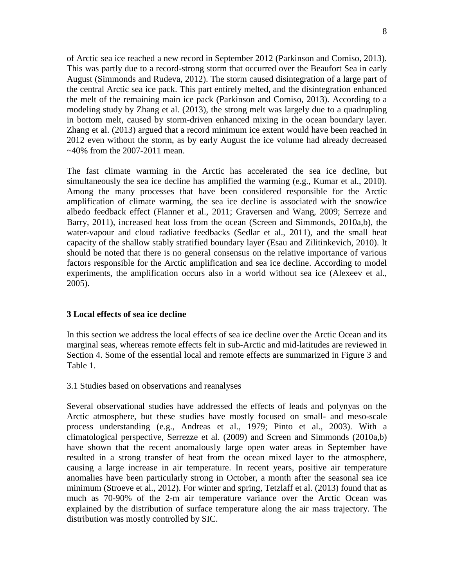of Arctic sea ice reached a new record in September 2012 (Parkinson and Comiso, 2013). This was partly due to a record-strong storm that occurred over the Beaufort Sea in early August (Simmonds and Rudeva, 2012). The storm caused disintegration of a large part of the central Arctic sea ice pack. This part entirely melted, and the disintegration enhanced the melt of the remaining main ice pack (Parkinson and Comiso, 2013). According to a modeling study by Zhang et al. (2013), the strong melt was largely due to a quadrupling in bottom melt, caused by storm-driven enhanced mixing in the ocean boundary layer. Zhang et al. (2013) argued that a record minimum ice extent would have been reached in 2012 even without the storm, as by early August the ice volume had already decreased  $\sim$ 40% from the 2007-2011 mean.

The fast climate warming in the Arctic has accelerated the sea ice decline, but simultaneously the sea ice decline has amplified the warming (e.g., Kumar et al., 2010). Among the many processes that have been considered responsible for the Arctic amplification of climate warming, the sea ice decline is associated with the snow/ice albedo feedback effect (Flanner et al., 2011; Graversen and Wang, 2009; Serreze and Barry, 2011), increased heat loss from the ocean (Screen and Simmonds, 2010a,b), the water-vapour and cloud radiative feedbacks (Sedlar et al., 2011), and the small heat capacity of the shallow stably stratified boundary layer (Esau and Zilitinkevich, 2010). It should be noted that there is no general consensus on the relative importance of various factors responsible for the Arctic amplification and sea ice decline. According to model experiments, the amplification occurs also in a world without sea ice (Alexeev et al., 2005).

## **3 Local effects of sea ice decline**

In this section we address the local effects of sea ice decline over the Arctic Ocean and its marginal seas, whereas remote effects felt in sub-Arctic and mid-latitudes are reviewed in Section 4. Some of the essential local and remote effects are summarized in Figure 3 and Table 1.

#### 3.1 Studies based on observations and reanalyses

Several observational studies have addressed the effects of leads and polynyas on the Arctic atmosphere, but these studies have mostly focused on small- and meso-scale process understanding (e.g., Andreas et al., 1979; Pinto et al., 2003). With a climatological perspective, Serrezze et al. (2009) and Screen and Simmonds (2010a,b) have shown that the recent anomalously large open water areas in September have resulted in a strong transfer of heat from the ocean mixed layer to the atmosphere, causing a large increase in air temperature. In recent years, positive air temperature anomalies have been particularly strong in October, a month after the seasonal sea ice minimum (Stroeve et al., 2012). For winter and spring, Tetzlaff et al. (2013) found that as much as 70-90% of the 2-m air temperature variance over the Arctic Ocean was explained by the distribution of surface temperature along the air mass trajectory. The distribution was mostly controlled by SIC.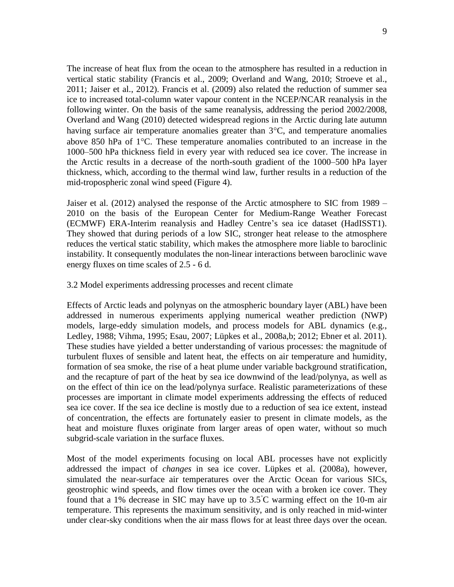The increase of heat flux from the ocean to the atmosphere has resulted in a reduction in vertical static stability (Francis et al., 2009; Overland and Wang, 2010; Stroeve et al., 2011; Jaiser et al., 2012). Francis et al. (2009) also related the reduction of summer sea ice to increased total-column water vapour content in the NCEP/NCAR reanalysis in the following winter. On the basis of the same reanalysis, addressing the period 2002/2008, Overland and Wang (2010) detected widespread regions in the Arctic during late autumn having surface air temperature anomalies greater than  $3^{\circ}$ C, and temperature anomalies above 850 hPa of  $1^{\circ}$ C. These temperature anomalies contributed to an increase in the 1000–500 hPa thickness field in every year with reduced sea ice cover. The increase in the Arctic results in a decrease of the north-south gradient of the 1000–500 hPa layer thickness, which, according to the thermal wind law, further results in a reduction of the mid-tropospheric zonal wind speed (Figure 4).

Jaiser et al. (2012) analysed the response of the Arctic atmosphere to SIC from 1989 – 2010 on the basis of the European Center for Medium-Range Weather Forecast (ECMWF) ERA-Interim reanalysis and Hadley Centre's sea ice dataset (HadISST1). They showed that during periods of a low SIC, stronger heat release to the atmosphere reduces the vertical static stability, which makes the atmosphere more liable to baroclinic instability. It consequently modulates the non-linear interactions between baroclinic wave energy fluxes on time scales of 2.5 - 6 d.

#### 3.2 Model experiments addressing processes and recent climate

Effects of Arctic leads and polynyas on the atmospheric boundary layer (ABL) have been addressed in numerous experiments applying numerical weather prediction (NWP) models, large-eddy simulation models, and process models for ABL dynamics (e.g., Ledley, 1988; Vihma, 1995; Esau, 2007; Lüpkes et al., 2008a,b; 2012; Ebner et al. 2011). These studies have yielded a better understanding of various processes: the magnitude of turbulent fluxes of sensible and latent heat, the effects on air temperature and humidity, formation of sea smoke, the rise of a heat plume under variable background stratification, and the recapture of part of the heat by sea ice downwind of the lead/polynya, as well as on the effect of thin ice on the lead/polynya surface. Realistic parameterizations of these processes are important in climate model experiments addressing the effects of reduced sea ice cover. If the sea ice decline is mostly due to a reduction of sea ice extent, instead of concentration, the effects are fortunately easier to present in climate models, as the heat and moisture fluxes originate from larger areas of open water, without so much subgrid-scale variation in the surface fluxes.

Most of the model experiments focusing on local ABL processes have not explicitly addressed the impact of *changes* in sea ice cover. Lüpkes et al. (2008a), however, simulated the near-surface air temperatures over the Arctic Ocean for various SICs, geostrophic wind speeds, and flow times over the ocean with a broken ice cover. They found that a 1% decrease in SIC may have up to 3.5◦C warming effect on the 10-m air temperature. This represents the maximum sensitivity, and is only reached in mid-winter under clear-sky conditions when the air mass flows for at least three days over the ocean.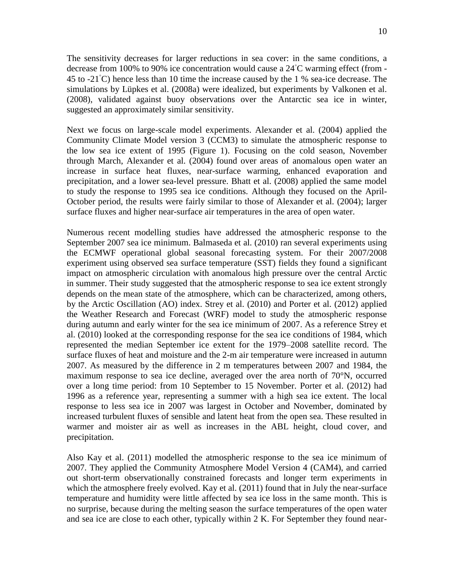The sensitivity decreases for larger reductions in sea cover: in the same conditions, a decrease from 100% to 90% ice concentration would cause a 24°C warming effect (from -45 to  $-21°C$ ) hence less than 10 time the increase caused by the 1 % sea-ice decrease. The simulations by Lüpkes et al. (2008a) were idealized, but experiments by Valkonen et al. (2008), validated against buoy observations over the Antarctic sea ice in winter, suggested an approximately similar sensitivity.

Next we focus on large-scale model experiments. Alexander et al. (2004) applied the Community Climate Model version 3 (CCM3) to simulate the atmospheric response to the low sea ice extent of 1995 (Figure 1). Focusing on the cold season, November through March, Alexander et al. (2004) found over areas of anomalous open water an increase in surface heat fluxes, near-surface warming, enhanced evaporation and precipitation, and a lower sea-level pressure. Bhatt et al. (2008) applied the same model to study the response to 1995 sea ice conditions. Although they focused on the April-October period, the results were fairly similar to those of Alexander et al. (2004); larger surface fluxes and higher near-surface air temperatures in the area of open water.

Numerous recent modelling studies have addressed the atmospheric response to the September 2007 sea ice minimum. Balmaseda et al. (2010) ran several experiments using the ECMWF operational global seasonal forecasting system. For their 2007/2008 experiment using observed sea surface temperature (SST) fields they found a significant impact on atmospheric circulation with anomalous high pressure over the central Arctic in summer. Their study suggested that the atmospheric response to sea ice extent strongly depends on the mean state of the atmosphere, which can be characterized, among others, by the Arctic Oscillation (AO) index. Strey et al. (2010) and Porter et al. (2012) applied the Weather Research and Forecast (WRF) model to study the atmospheric response during autumn and early winter for the sea ice minimum of 2007. As a reference Strey et al. (2010) looked at the corresponding response for the sea ice conditions of 1984, which represented the median September ice extent for the 1979–2008 satellite record. The surface fluxes of heat and moisture and the 2-m air temperature were increased in autumn 2007. As measured by the difference in 2 m temperatures between 2007 and 1984, the maximum response to sea ice decline, averaged over the area north of 70°N, occurred over a long time period: from 10 September to 15 November. Porter et al. (2012) had 1996 as a reference year, representing a summer with a high sea ice extent. The local response to less sea ice in 2007 was largest in October and November, dominated by increased turbulent fluxes of sensible and latent heat from the open sea. These resulted in warmer and moister air as well as increases in the ABL height, cloud cover, and precipitation.

Also Kay et al. (2011) modelled the atmospheric response to the sea ice minimum of 2007. They applied the Community Atmosphere Model Version 4 (CAM4), and carried out short-term observationally constrained forecasts and longer term experiments in which the atmosphere freely evolved. Kay et al. (2011) found that in July the near-surface temperature and humidity were little affected by sea ice loss in the same month. This is no surprise, because during the melting season the surface temperatures of the open water and sea ice are close to each other, typically within 2 K. For September they found near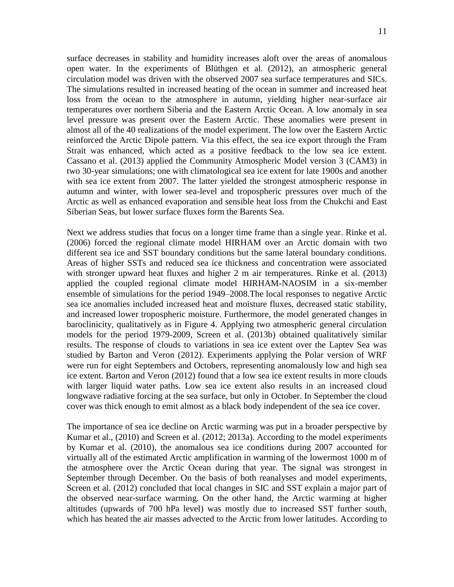surface decreases in stability and humidity increases aloft over the areas of anomalous open water. In the experiments of Blüthgen et al. (2012), an atmospheric general circulation model was driven with the observed 2007 sea surface temperatures and SICs. The simulations resulted in increased heating of the ocean in summer and increased heat loss from the ocean to the atmosphere in autumn, yielding higher near-surface air temperatures over northern Siberia and the Eastern Arctic Ocean. A low anomaly in sea level pressure was present over the Eastern Arctic. These anomalies were present in almost all of the 40 realizations of the model experiment. The low over the Eastern Arctic reinforced the Arctic Dipole pattern. Via this effect, the sea ice export through the Fram Strait was enhanced, which acted as a positive feedback to the low sea ice extent. Cassano et al. (2013) applied the Community Atmospheric Model version 3 (CAM3) in two 30-year simulations; one with climatological sea ice extent for late 1900s and another with sea ice extent from 2007. The latter yielded the strongest atmospheric response in autumn and winter, with lower sea-level and tropospheric pressures over much of the Arctic as well as enhanced evaporation and sensible heat loss from the Chukchi and East Siberian Seas, but lower surface fluxes form the Barents Sea.

Next we address studies that focus on a longer time frame than a single year. Rinke et al. (2006) forced the regional climate model HIRHAM over an Arctic domain with two different sea ice and SST boundary conditions but the same lateral boundary conditions. Areas of higher SSTs and reduced sea ice thickness and concentration were associated with stronger upward heat fluxes and higher 2 m air temperatures. Rinke et al. (2013) applied the coupled regional climate model HIRHAM-NAOSIM in a six-member ensemble of simulations for the period 1949–2008.The local responses to negative Arctic sea ice anomalies included increased heat and moisture fluxes, decreased static stability, and increased lower tropospheric moisture. Furthermore, the model generated changes in baroclinicity, qualitatively as in Figure 4. Applying two atmospheric general circulation models for the period 1979-2009, Screen et al. (2013b) obtained qualitatively similar results. The response of clouds to variations in sea ice extent over the Laptev Sea was studied by Barton and Veron (2012). Experiments applying the Polar version of WRF were run for eight Septembers and Octobers, representing anomalously low and high sea ice extent. Barton and Veron (2012) found that a low sea ice extent results in more clouds with larger liquid water paths. Low sea ice extent also results in an increased cloud longwave radiative forcing at the sea surface, but only in October. In September the cloud cover was thick enough to emit almost as a black body independent of the sea ice cover.

The importance of sea ice decline on Arctic warming was put in a broader perspective by Kumar et al., (2010) and Screen et al. (2012; 2013a). According to the model experiments by Kumar et al. (2010), the anomalous sea ice conditions during 2007 accounted for virtually all of the estimated Arctic amplification in warming of the lowermost 1000 m of the atmosphere over the Arctic Ocean during that year. The signal was strongest in September through December. On the basis of both reanalyses and model experiments, Screen et al. (2012) concluded that local changes in SIC and SST explain a major part of the observed near-surface warming. On the other hand, the Arctic warming at higher altitudes (upwards of 700 hPa level) was mostly due to increased SST further south, which has heated the air masses advected to the Arctic from lower latitudes. According to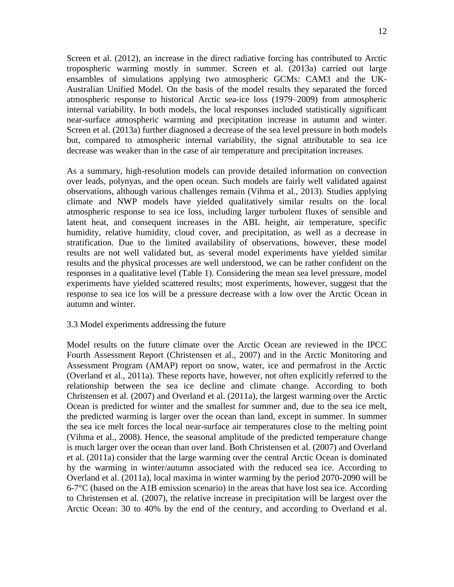Screen et al. (2012), an increase in the direct radiative forcing has contributed to Arctic tropospheric warming mostly in summer. Screen et al. (2013a) carried out large ensambles of simulations applying two atmospheric GCMs: CAM3 and the UK-Australian Unified Model. On the basis of the model results they separated the forced atmospheric response to historical Arctic sea-ice loss (1979–2009) from atmospheric internal variability. In both models, the local responses included statistically significant near-surface atmospheric warming and precipitation increase in autumn and winter. Screen et al. (2013a) further diagnosed a decrease of the sea level pressure in both models but, compared to atmospheric internal variability, the signal attributable to sea ice decrease was weaker than in the case of air temperature and precipitation increases.

As a summary, high-resolution models can provide detailed information on convection over leads, polynyas, and the open ocean. Such models are fairly well validated against observations, although various challenges remain (Vihma et al., 2013). Studies applying climate and NWP models have yielded qualitatively similar results on the local atmospheric response to sea ice loss, including larger turbulent fluxes of sensible and latent heat, and consequent increases in the ABL height, air temperature, specific humidity, relative humidity, cloud cover, and precipitation, as well as a decrease in stratification. Due to the limited availability of observations, however, these model results are not well validated but, as several model experiments have yielded similar results and the physical processes are well understood, we can be rather confident on the responses in a qualitative level (Table 1). Considering the mean sea level pressure, model experiments have yielded scattered results; most experiments, however, suggest that the response to sea ice los will be a pressure decrease with a low over the Arctic Ocean in autumn and winter.

## 3.3 Model experiments addressing the future

Model results on the future climate over the Arctic Ocean are reviewed in the IPCC Fourth Assessment Report (Christensen et al., 2007) and in the Arctic Monitoring and Assessment Program (AMAP) report on snow, water, ice and permafrost in the Arctic (Overland et al., 2011a). These reports have, however, not often explicitly referred to the relationship between the sea ice decline and climate change. According to both Christensen et al. (2007) and Overland et al. (2011a), the largest warming over the Arctic Ocean is predicted for winter and the smallest for summer and, due to the sea ice melt, the predicted warming is larger over the ocean than land, except in summer. In summer the sea ice melt forces the local near-surface air temperatures close to the melting point (Vihma et al., 2008). Hence, the seasonal amplitude of the predicted temperature change is much larger over the ocean than over land. Both Christensen et al. (2007) and Overland et al. (2011a) consider that the large warming over the central Arctic Ocean is dominated by the warming in winter/autumn associated with the reduced sea ice. According to Overland et al. (2011a), local maxima in winter warming by the period 2070-2090 will be 6-7°C (based on the A1B emission scenario) in the areas that have lost sea ice. According to Christensen et al. (2007), the relative increase in precipitation will be largest over the Arctic Ocean: 30 to 40% by the end of the century, and according to Overland et al.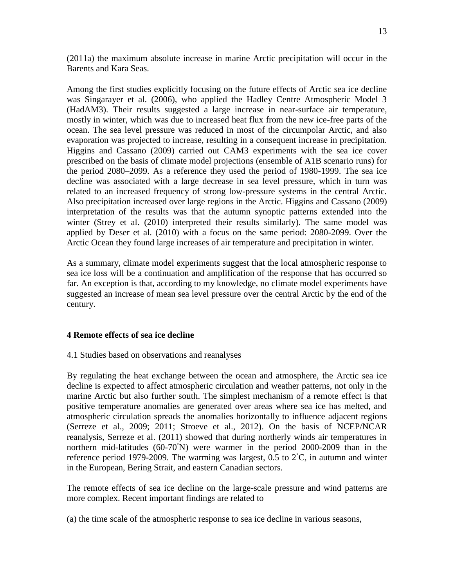(2011a) the maximum absolute increase in marine Arctic precipitation will occur in the Barents and Kara Seas.

Among the first studies explicitly focusing on the future effects of Arctic sea ice decline was Singarayer et al. (2006), who applied the Hadley Centre Atmospheric Model 3 (HadAM3). Their results suggested a large increase in near-surface air temperature, mostly in winter, which was due to increased heat flux from the new ice-free parts of the ocean. The sea level pressure was reduced in most of the circumpolar Arctic, and also evaporation was projected to increase, resulting in a consequent increase in precipitation. Higgins and Cassano (2009) carried out CAM3 experiments with the sea ice cover prescribed on the basis of climate model projections (ensemble of A1B scenario runs) for the period 2080–2099. As a reference they used the period of 1980-1999. The sea ice decline was associated with a large decrease in sea level pressure, which in turn was related to an increased frequency of strong low-pressure systems in the central Arctic. Also precipitation increased over large regions in the Arctic. Higgins and Cassano (2009) interpretation of the results was that the autumn synoptic patterns extended into the winter (Strey et al. (2010) interpreted their results similarly). The same model was applied by Deser et al. (2010) with a focus on the same period: 2080-2099. Over the Arctic Ocean they found large increases of air temperature and precipitation in winter.

As a summary, climate model experiments suggest that the local atmospheric response to sea ice loss will be a continuation and amplification of the response that has occurred so far. An exception is that, according to my knowledge, no climate model experiments have suggested an increase of mean sea level pressure over the central Arctic by the end of the century.

# **4 Remote effects of sea ice decline**

## 4.1 Studies based on observations and reanalyses

By regulating the heat exchange between the ocean and atmosphere, the Arctic sea ice decline is expected to affect atmospheric circulation and weather patterns, not only in the marine Arctic but also further south. The simplest mechanism of a remote effect is that positive temperature anomalies are generated over areas where sea ice has melted, and atmospheric circulation spreads the anomalies horizontally to influence adjacent regions (Serreze et al., 2009; 2011; Stroeve et al., 2012). On the basis of NCEP/NCAR reanalysis, Serreze et al. (2011) showed that during northerly winds air temperatures in northern mid-latitudes (60-70<sup>°</sup>N) were warmer in the period 2000-2009 than in the reference period 1979-2009. The warming was largest, 0.5 to  $2°C$ , in autumn and winter in the European, Bering Strait, and eastern Canadian sectors.

The remote effects of sea ice decline on the large-scale pressure and wind patterns are more complex. Recent important findings are related to

(a) the time scale of the atmospheric response to sea ice decline in various seasons,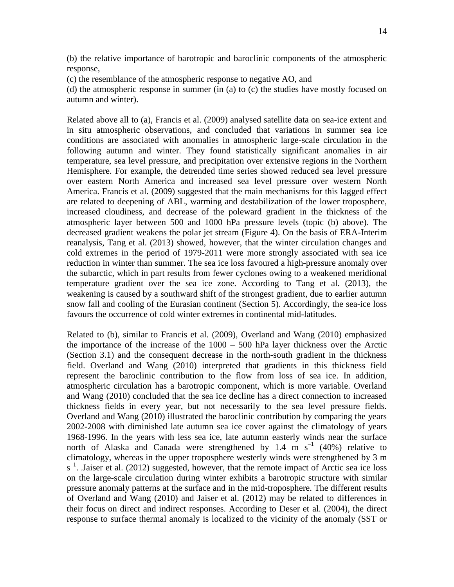(b) the relative importance of barotropic and baroclinic components of the atmospheric response,

(c) the resemblance of the atmospheric response to negative AO, and

(d) the atmospheric response in summer (in (a) to (c) the studies have mostly focused on autumn and winter).

Related above all to (a), Francis et al. (2009) analysed satellite data on sea-ice extent and in situ atmospheric observations, and concluded that variations in summer sea ice conditions are associated with anomalies in atmospheric large-scale circulation in the following autumn and winter. They found statistically significant anomalies in air temperature, sea level pressure, and precipitation over extensive regions in the Northern Hemisphere. For example, the detrended time series showed reduced sea level pressure over eastern North America and increased sea level pressure over western North America. Francis et al. (2009) suggested that the main mechanisms for this lagged effect are related to deepening of ABL, warming and destabilization of the lower troposphere, increased cloudiness, and decrease of the poleward gradient in the thickness of the atmospheric layer between 500 and 1000 hPa pressure levels (topic (b) above). The decreased gradient weakens the polar jet stream (Figure 4). On the basis of ERA-Interim reanalysis, Tang et al. (2013) showed, however, that the winter circulation changes and cold extremes in the period of 1979-2011 were more strongly associated with sea ice reduction in winter than summer. The sea ice loss favoured a high-pressure anomaly over the subarctic, which in part results from fewer cyclones owing to a weakened meridional temperature gradient over the sea ice zone. According to Tang et al. (2013), the weakening is caused by a southward shift of the strongest gradient, due to earlier autumn snow fall and cooling of the Eurasian continent (Section 5). Accordingly, the sea-ice loss favours the occurrence of cold winter extremes in continental mid-latitudes.

Related to (b), similar to Francis et al. (2009), Overland and Wang (2010) emphasized the importance of the increase of the 1000 – 500 hPa layer thickness over the Arctic (Section 3.1) and the consequent decrease in the north-south gradient in the thickness field. Overland and Wang (2010) interpreted that gradients in this thickness field represent the baroclinic contribution to the flow from loss of sea ice. In addition, atmospheric circulation has a barotropic component, which is more variable. Overland and Wang (2010) concluded that the sea ice decline has a direct connection to increased thickness fields in every year, but not necessarily to the sea level pressure fields. Overland and Wang (2010) illustrated the baroclinic contribution by comparing the years 2002-2008 with diminished late autumn sea ice cover against the climatology of years 1968-1996. In the years with less sea ice, late autumn easterly winds near the surface north of Alaska and Canada were strengthened by 1.4 m  $s^{-1}$  (40%) relative to climatology, whereas in the upper troposphere westerly winds were strengthened by 3 m  $s^{-1}$ . Jaiser et al. (2012) suggested, however, that the remote impact of Arctic sea ice loss on the large-scale circulation during winter exhibits a barotropic structure with similar pressure anomaly patterns at the surface and in the mid-troposphere. The different results of Overland and Wang (2010) and Jaiser et al. (2012) may be related to differences in their focus on direct and indirect responses. According to Deser et al. (2004), the direct response to surface thermal anomaly is localized to the vicinity of the anomaly (SST or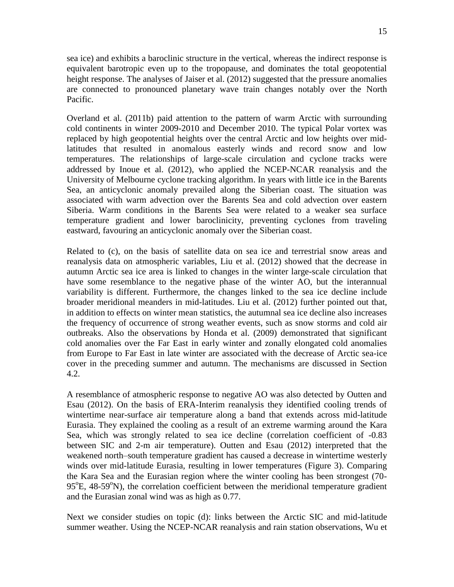15

sea ice) and exhibits a baroclinic structure in the vertical, whereas the indirect response is equivalent barotropic even up to the tropopause, and dominates the total geopotential height response. The analyses of Jaiser et al. (2012) suggested that the pressure anomalies are connected to pronounced planetary wave train changes notably over the North Pacific.

Overland et al. (2011b) paid attention to the pattern of warm Arctic with surrounding cold continents in winter 2009-2010 and December 2010. The typical Polar vortex was replaced by high geopotential heights over the central Arctic and low heights over midlatitudes that resulted in anomalous easterly winds and record snow and low temperatures. The relationships of large-scale circulation and cyclone tracks were addressed by Inoue et al. (2012), who applied the NCEP-NCAR reanalysis and the University of Melbourne cyclone tracking algorithm. In years with little ice in the Barents Sea, an anticyclonic anomaly prevailed along the Siberian coast. The situation was associated with warm advection over the Barents Sea and cold advection over eastern Siberia. Warm conditions in the Barents Sea were related to a weaker sea surface temperature gradient and lower baroclinicity, preventing cyclones from traveling eastward, favouring an anticyclonic anomaly over the Siberian coast.

Related to (c), on the basis of satellite data on sea ice and terrestrial snow areas and reanalysis data on atmospheric variables, Liu et al. (2012) showed that the decrease in autumn Arctic sea ice area is linked to changes in the winter large-scale circulation that have some resemblance to the negative phase of the winter AO, but the interannual variability is different. Furthermore, the changes linked to the sea ice decline include broader meridional meanders in mid-latitudes. Liu et al. (2012) further pointed out that, in addition to effects on winter mean statistics, the autumnal sea ice decline also increases the frequency of occurrence of strong weather events, such as snow storms and cold air outbreaks. Also the observations by Honda et al. (2009) demonstrated that significant cold anomalies over the Far East in early winter and zonally elongated cold anomalies from Europe to Far East in late winter are associated with the decrease of Arctic sea-ice cover in the preceding summer and autumn. The mechanisms are discussed in Section 4.2.

A resemblance of atmospheric response to negative AO was also detected by Outten and Esau (2012). On the basis of ERA-Interim reanalysis they identified cooling trends of wintertime near-surface air temperature along a band that extends across mid-latitude Eurasia. They explained the cooling as a result of an extreme warming around the Kara Sea, which was strongly related to sea ice decline (correlation coefficient of -0.83 between SIC and 2-m air temperature). Outten and Esau (2012) interpreted that the weakened north–south temperature gradient has caused a decrease in wintertime westerly winds over mid-latitude Eurasia, resulting in lower temperatures (Figure 3). Comparing the Kara Sea and the Eurasian region where the winter cooling has been strongest (70- 95°E, 48-59°N), the correlation coefficient between the meridional temperature gradient and the Eurasian zonal wind was as high as 0.77.

Next we consider studies on topic (d): links between the Arctic SIC and mid-latitude summer weather. Using the NCEP-NCAR reanalysis and rain station observations, Wu et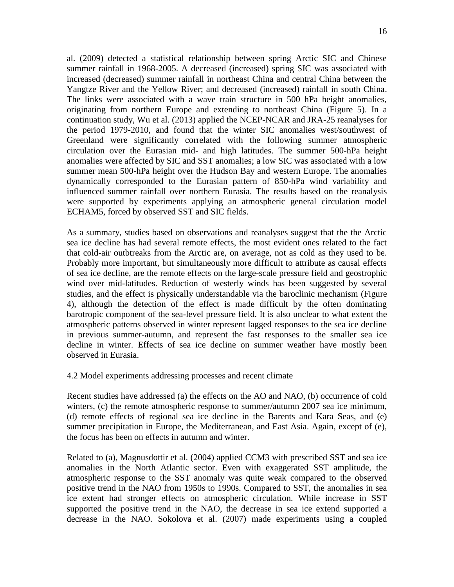al. (2009) detected a statistical relationship between spring Arctic SIC and Chinese summer rainfall in 1968-2005. A decreased (increased) spring SIC was associated with increased (decreased) summer rainfall in northeast China and central China between the Yangtze River and the Yellow River; and decreased (increased) rainfall in south China. The links were associated with a wave train structure in 500 hPa height anomalies, originating from northern Europe and extending to northeast China (Figure 5). In a continuation study, Wu et al. (2013) applied the NCEP-NCAR and JRA-25 reanalyses for the period 1979-2010, and found that the winter SIC anomalies west/southwest of Greenland were significantly correlated with the following summer atmospheric circulation over the Eurasian mid- and high latitudes. The summer 500-hPa height anomalies were affected by SIC and SST anomalies; a low SIC was associated with a low summer mean 500-hPa height over the Hudson Bay and western Europe. The anomalies dynamically corresponded to the Eurasian pattern of 850-hPa wind variability and influenced summer rainfall over northern Eurasia. The results based on the reanalysis were supported by experiments applying an atmospheric general circulation model ECHAM5, forced by observed SST and SIC fields.

As a summary, studies based on observations and reanalyses suggest that the the Arctic sea ice decline has had several remote effects, the most evident ones related to the fact that cold-air outbtreaks from the Arctic are, on average, not as cold as they used to be. Probably more important, but simultaneously more difficult to attribute as causal effects of sea ice decline, are the remote effects on the large-scale pressure field and geostrophic wind over mid-latitudes. Reduction of westerly winds has been suggested by several studies, and the effect is physically understandable via the baroclinic mechanism (Figure 4), although the detection of the effect is made difficult by the often dominating barotropic component of the sea-level pressure field. It is also unclear to what extent the atmospheric patterns observed in winter represent lagged responses to the sea ice decline in previous summer-autumn, and represent the fast responses to the smaller sea ice decline in winter. Effects of sea ice decline on summer weather have mostly been observed in Eurasia.

4.2 Model experiments addressing processes and recent climate

Recent studies have addressed (a) the effects on the AO and NAO, (b) occurrence of cold winters, (c) the remote atmospheric response to summer/autumn 2007 sea ice minimum, (d) remote effects of regional sea ice decline in the Barents and Kara Seas, and (e) summer precipitation in Europe, the Mediterranean, and East Asia. Again, except of (e), the focus has been on effects in autumn and winter.

Related to (a), Magnusdottir et al. (2004) applied CCM3 with prescribed SST and sea ice anomalies in the North Atlantic sector. Even with exaggerated SST amplitude, the atmospheric response to the SST anomaly was quite weak compared to the observed positive trend in the NAO from 1950s to 1990s. Compared to SST, the anomalies in sea ice extent had stronger effects on atmospheric circulation. While increase in SST supported the positive trend in the NAO, the decrease in sea ice extend supported a decrease in the NAO. Sokolova et al. (2007) made experiments using a coupled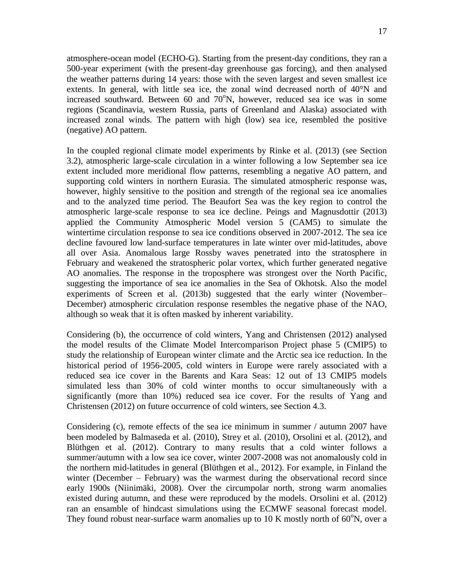atmosphere-ocean model (ECHO-G). Starting from the present-day conditions, they ran a 500-year experiment (with the present-day greenhouse gas forcing), and then analysed the weather patterns during 14 years: those with the seven largest and seven smallest ice extents. In general, with little sea ice, the zonal wind decreased north of 40°N and increased southward. Between  $60$  and  $70^{\circ}$ N, however, reduced sea ice was in some regions (Scandinavia, western Russia, parts of Greenland and Alaska) associated with increased zonal winds. The pattern with high (low) sea ice, resembled the positive (negative) AO pattern.

In the coupled regional climate model experiments by Rinke et al. (2013) (see Section 3.2), atmospheric large-scale circulation in a winter following a low September sea ice extent included more meridional flow patterns, resembling a negative AO pattern, and supporting cold winters in northern Eurasia. The simulated atmospheric response was, however, highly sensitive to the position and strength of the regional sea ice anomalies and to the analyzed time period. The Beaufort Sea was the key region to control the atmospheric large-scale response to sea ice decline. Peings and Magnusdottir (2013) applied the Community Atmospheric Model version 5 (CAM5) to simulate the wintertime circulation response to sea ice conditions observed in 2007-2012. The sea ice decline favoured low land-surface temperatures in late winter over mid-latitudes, above all over Asia. Anomalous large Rossby waves penetrated into the stratosphere in February and weakened the stratospheric polar vortex, which further generated negative AO anomalies. The response in the troposphere was strongest over the North Pacific, suggesting the importance of sea ice anomalies in the Sea of Okhotsk. Also the model experiments of Screen et al. (2013b) suggested that the early winter (November– December) atmospheric circulation response resembles the negative phase of the NAO, although so weak that it is often masked by inherent variability.

Considering (b), the occurrence of cold winters, Yang and Christensen (2012) analysed the model results of the Climate Model Intercomparison Project phase 5 (CMIP5) to study the relationship of European winter climate and the Arctic sea ice reduction. In the historical period of 1956-2005, cold winters in Europe were rarely associated with a reduced sea ice cover in the Barents and Kara Seas: 12 out of 13 CMIP5 models simulated less than 30% of cold winter months to occur simultaneously with a significantly (more than 10%) reduced sea ice cover. For the results of Yang and Christensen (2012) on future occurrence of cold winters, see Section 4.3.

Considering (c), remote effects of the sea ice minimum in summer / autumn 2007 have been modeled by Balmaseda et al. (2010), Strey et al. (2010), Orsolini et al. (2012), and Blüthgen et al. (2012). Contrary to many results that a cold winter follows a summer/autumn with a low sea ice cover, winter 2007-2008 was not anomalously cold in the northern mid-latitudes in general (Blüthgen et al., 2012). For example, in Finland the winter (December – February) was the warmest during the observational record since early 1900s (Niinimäki, 2008). Over the circumpolar north, strong warm anomalies existed during autumn, and these were reproduced by the models. Orsolini et al. (2012) ran an ensamble of hindcast simulations using the ECMWF seasonal forecast model. They found robust near-surface warm anomalies up to 10 K mostly north of  $60^{\circ}$ N, over a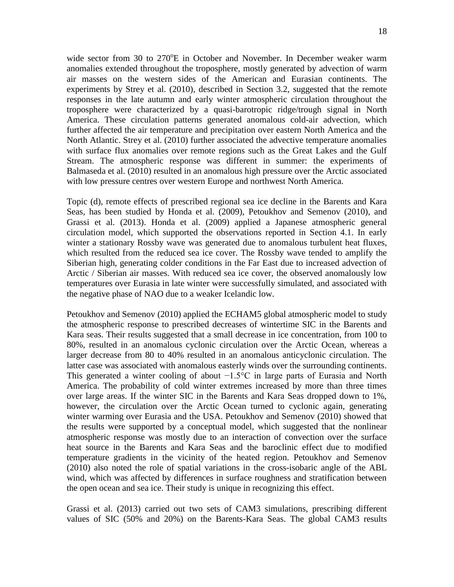wide sector from 30 to  $270^{\circ}E$  in October and November. In December weaker warm anomalies extended throughout the troposphere, mostly generated by advection of warm air masses on the western sides of the American and Eurasian continents. The experiments by Strey et al. (2010), described in Section 3.2, suggested that the remote responses in the late autumn and early winter atmospheric circulation throughout the troposphere were characterized by a quasi-barotropic ridge/trough signal in North America. These circulation patterns generated anomalous cold-air advection, which further affected the air temperature and precipitation over eastern North America and the North Atlantic. Strey et al. (2010) further associated the advective temperature anomalies with surface flux anomalies over remote regions such as the Great Lakes and the Gulf Stream. The atmospheric response was different in summer: the experiments of Balmaseda et al. (2010) resulted in an anomalous high pressure over the Arctic associated with low pressure centres over western Europe and northwest North America.

Topic (d), remote effects of prescribed regional sea ice decline in the Barents and Kara Seas, has been studied by Honda et al. (2009), Petoukhov and Semenov (2010), and Grassi et al. (2013). Honda et al. (2009) applied a Japanese atmospheric general circulation model, which supported the observations reported in Section 4.1. In early winter a stationary Rossby wave was generated due to anomalous turbulent heat fluxes, which resulted from the reduced sea ice cover. The Rossby wave tended to amplify the Siberian high, generating colder conditions in the Far East due to increased advection of Arctic / Siberian air masses. With reduced sea ice cover, the observed anomalously low temperatures over Eurasia in late winter were successfully simulated, and associated with the negative phase of NAO due to a weaker Icelandic low.

Petoukhov and Semenov (2010) applied the ECHAM5 global atmospheric model to study the atmospheric response to prescribed decreases of wintertime SIC in the Barents and Kara seas. Their results suggested that a small decrease in ice concentration, from 100 to 80%, resulted in an anomalous cyclonic circulation over the Arctic Ocean, whereas a larger decrease from 80 to 40% resulted in an anomalous anticyclonic circulation. The latter case was associated with anomalous easterly winds over the surrounding continents. This generated a winter cooling of about −1.5°C in large parts of Eurasia and North America. The probability of cold winter extremes increased by more than three times over large areas. If the winter SIC in the Barents and Kara Seas dropped down to 1%, however, the circulation over the Arctic Ocean turned to cyclonic again, generating winter warming over Eurasia and the USA. Petoukhov and Semenov (2010) showed that the results were supported by a conceptual model, which suggested that the nonlinear atmospheric response was mostly due to an interaction of convection over the surface heat source in the Barents and Kara Seas and the baroclinic effect due to modified temperature gradients in the vicinity of the heated region. Petoukhov and Semenov (2010) also noted the role of spatial variations in the cross-isobaric angle of the ABL wind, which was affected by differences in surface roughness and stratification between the open ocean and sea ice. Their study is unique in recognizing this effect.

Grassi et al. (2013) carried out two sets of CAM3 simulations, prescribing different values of SIC (50% and 20%) on the Barents-Kara Seas. The global CAM3 results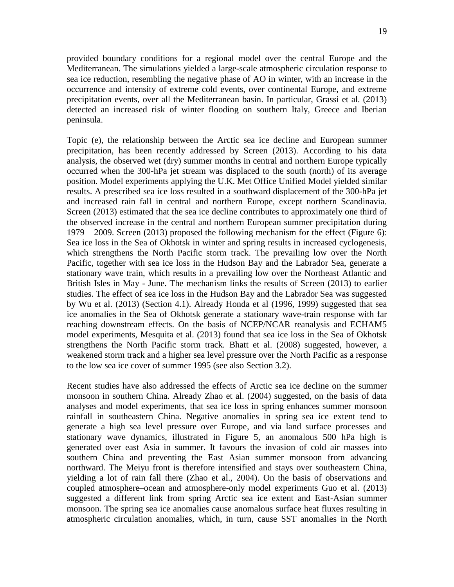provided boundary conditions for a regional model over the central Europe and the Mediterranean. The simulations yielded a large-scale atmospheric circulation response to sea ice reduction, resembling the negative phase of AO in winter, with an increase in the occurrence and intensity of extreme cold events, over continental Europe, and extreme precipitation events, over all the Mediterranean basin. In particular, Grassi et al. (2013) detected an increased risk of winter flooding on southern Italy, Greece and Iberian peninsula.

Topic (e), the relationship between the Arctic sea ice decline and European summer precipitation, has been recently addressed by Screen (2013). According to his data analysis, the observed wet (dry) summer months in central and northern Europe typically occurred when the 300-hPa jet stream was displaced to the south (north) of its average position. Model experiments applying the U.K. Met Office Unified Model yielded similar results. A prescribed sea ice loss resulted in a southward displacement of the 300-hPa jet and increased rain fall in central and northern Europe, except northern Scandinavia. Screen (2013) estimated that the sea ice decline contributes to approximately one third of the observed increase in the central and northern European summer precipitation during 1979 – 2009. Screen (2013) proposed the following mechanism for the effect (Figure 6): Sea ice loss in the Sea of Okhotsk in winter and spring results in increased cyclogenesis, which strengthens the North Pacific storm track. The prevailing low over the North Pacific, together with sea ice loss in the Hudson Bay and the Labrador Sea, generate a stationary wave train, which results in a prevailing low over the Northeast Atlantic and British Isles in May - June. The mechanism links the results of Screen (2013) to earlier studies. The effect of sea ice loss in the Hudson Bay and the Labrador Sea was suggested by Wu et al. (2013) (Section 4.1). Already Honda et al (1996, 1999) suggested that sea ice anomalies in the Sea of Okhotsk generate a stationary wave-train response with far reaching downstream effects. On the basis of NCEP/NCAR reanalysis and ECHAM5 model experiments, Mesquita et al. (2013) found that sea ice loss in the Sea of Okhotsk strengthens the North Pacific storm track. Bhatt et al. (2008) suggested, however, a weakened storm track and a higher sea level pressure over the North Pacific as a response to the low sea ice cover of summer 1995 (see also Section 3.2).

Recent studies have also addressed the effects of Arctic sea ice decline on the summer monsoon in southern China. Already Zhao et al. (2004) suggested, on the basis of data analyses and model experiments, that sea ice loss in spring enhances summer monsoon rainfall in southeastern China. Negative anomalies in spring sea ice extent tend to generate a high sea level pressure over Europe, and via land surface processes and stationary wave dynamics, illustrated in Figure 5, an anomalous 500 hPa high is generated over east Asia in summer. It favours the invasion of cold air masses into southern China and preventing the East Asian summer monsoon from advancing northward. The Meiyu front is therefore intensified and stays over southeastern China, yielding a lot of rain fall there (Zhao et al., 2004). On the basis of observations and coupled atmosphere–ocean and atmosphere-only model experiments Guo et al. (2013) suggested a different link from spring Arctic sea ice extent and East-Asian summer monsoon. The spring sea ice anomalies cause anomalous surface heat fluxes resulting in atmospheric circulation anomalies, which, in turn, cause SST anomalies in the North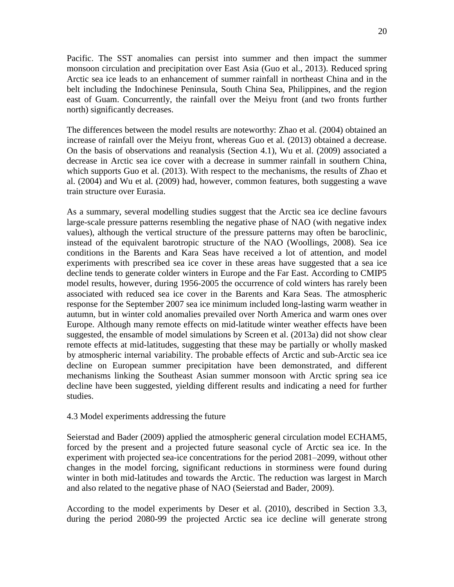Pacific. The SST anomalies can persist into summer and then impact the summer monsoon circulation and precipitation over East Asia (Guo et al., 2013). Reduced spring Arctic sea ice leads to an enhancement of summer rainfall in northeast China and in the belt including the Indochinese Peninsula, South China Sea, Philippines, and the region east of Guam. Concurrently, the rainfall over the Meiyu front (and two fronts further north) significantly decreases.

The differences between the model results are noteworthy: Zhao et al. (2004) obtained an increase of rainfall over the Meiyu front, whereas Guo et al. (2013) obtained a decrease. On the basis of observations and reanalysis (Section 4.1), Wu et al. (2009) associated a decrease in Arctic sea ice cover with a decrease in summer rainfall in southern China, which supports Guo et al. (2013). With respect to the mechanisms, the results of Zhao et al. (2004) and Wu et al. (2009) had, however, common features, both suggesting a wave train structure over Eurasia.

As a summary, several modelling studies suggest that the Arctic sea ice decline favours large-scale pressure patterns resembling the negative phase of NAO (with negative index values), although the vertical structure of the pressure patterns may often be baroclinic, instead of the equivalent barotropic structure of the NAO (Woollings, 2008). Sea ice conditions in the Barents and Kara Seas have received a lot of attention, and model experiments with prescribed sea ice cover in these areas have suggested that a sea ice decline tends to generate colder winters in Europe and the Far East. According to CMIP5 model results, however, during 1956-2005 the occurrence of cold winters has rarely been associated with reduced sea ice cover in the Barents and Kara Seas. The atmospheric response for the September 2007 sea ice minimum included long-lasting warm weather in autumn, but in winter cold anomalies prevailed over North America and warm ones over Europe. Although many remote effects on mid-latitude winter weather effects have been suggested, the ensamble of model simulations by Screen et al. (2013a) did not show clear remote effects at mid-latitudes, suggesting that these may be partially or wholly masked by atmospheric internal variability. The probable effects of Arctic and sub-Arctic sea ice decline on European summer precipitation have been demonstrated, and different mechanisms linking the Southeast Asian summer monsoon with Arctic spring sea ice decline have been suggested, yielding different results and indicating a need for further studies.

#### 4.3 Model experiments addressing the future

Seierstad and Bader (2009) applied the atmospheric general circulation model ECHAM5, forced by the present and a projected future seasonal cycle of Arctic sea ice. In the experiment with projected sea-ice concentrations for the period 2081–2099, without other changes in the model forcing, significant reductions in storminess were found during winter in both mid-latitudes and towards the Arctic. The reduction was largest in March and also related to the negative phase of NAO (Seierstad and Bader, 2009).

According to the model experiments by Deser et al. (2010), described in Section 3.3, during the period 2080-99 the projected Arctic sea ice decline will generate strong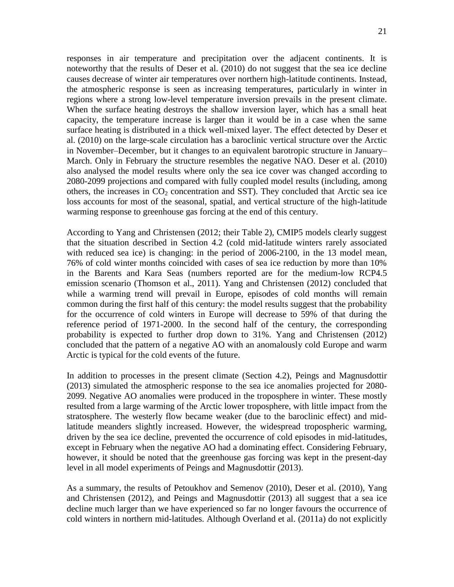responses in air temperature and precipitation over the adjacent continents. It is noteworthy that the results of Deser et al. (2010) do not suggest that the sea ice decline causes decrease of winter air temperatures over northern high-latitude continents. Instead, the atmospheric response is seen as increasing temperatures, particularly in winter in regions where a strong low-level temperature inversion prevails in the present climate. When the surface heating destroys the shallow inversion layer, which has a small heat capacity, the temperature increase is larger than it would be in a case when the same surface heating is distributed in a thick well-mixed layer. The effect detected by Deser et al. (2010) on the large-scale circulation has a baroclinic vertical structure over the Arctic in November–December, but it changes to an equivalent barotropic structure in January– March. Only in February the structure resembles the negative NAO. Deser et al. (2010) also analysed the model results where only the sea ice cover was changed according to 2080-2099 projections and compared with fully coupled model results (including, among others, the increases in  $CO<sub>2</sub>$  concentration and SST). They concluded that Arctic sea ice loss accounts for most of the seasonal, spatial, and vertical structure of the high-latitude warming response to greenhouse gas forcing at the end of this century.

According to Yang and Christensen (2012; their Table 2), CMIP5 models clearly suggest that the situation described in Section 4.2 (cold mid-latitude winters rarely associated with reduced sea ice) is changing: in the period of 2006-2100, in the 13 model mean, 76% of cold winter months coincided with cases of sea ice reduction by more than 10% in the Barents and Kara Seas (numbers reported are for the medium-low RCP4.5 emission scenario (Thomson et al., 2011). Yang and Christensen (2012) concluded that while a warming trend will prevail in Europe, episodes of cold months will remain common during the first half of this century: the model results suggest that the probability for the occurrence of cold winters in Europe will decrease to 59% of that during the reference period of 1971-2000. In the second half of the century, the corresponding probability is expected to further drop down to 31%. Yang and Christensen (2012) concluded that the pattern of a negative AO with an anomalously cold Europe and warm Arctic is typical for the cold events of the future.

In addition to processes in the present climate (Section 4.2), Peings and Magnusdottir (2013) simulated the atmospheric response to the sea ice anomalies projected for 2080- 2099. Negative AO anomalies were produced in the troposphere in winter. These mostly resulted from a large warming of the Arctic lower troposphere, with little impact from the stratosphere. The westerly flow became weaker (due to the baroclinic effect) and midlatitude meanders slightly increased. However, the widespread tropospheric warming, driven by the sea ice decline, prevented the occurrence of cold episodes in mid-latitudes, except in February when the negative AO had a dominating effect. Considering February, however, it should be noted that the greenhouse gas forcing was kept in the present-day level in all model experiments of Peings and Magnusdottir (2013).

As a summary, the results of Petoukhov and Semenov (2010), Deser et al. (2010), Yang and Christensen (2012), and Peings and Magnusdottir (2013) all suggest that a sea ice decline much larger than we have experienced so far no longer favours the occurrence of cold winters in northern mid-latitudes. Although Overland et al. (2011a) do not explicitly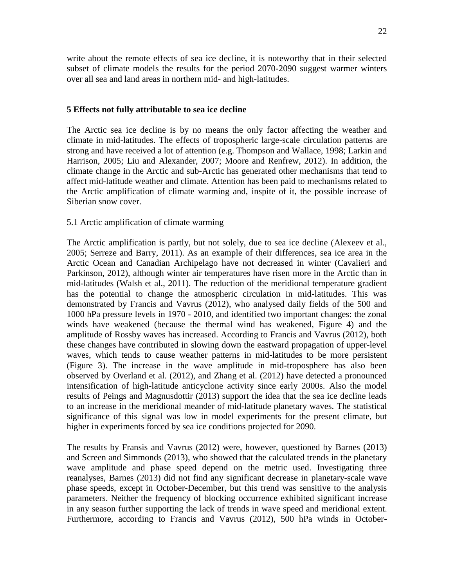write about the remote effects of sea ice decline, it is noteworthy that in their selected subset of climate models the results for the period 2070-2090 suggest warmer winters over all sea and land areas in northern mid- and high-latitudes.

#### **5 Effects not fully attributable to sea ice decline**

The Arctic sea ice decline is by no means the only factor affecting the weather and climate in mid-latitudes. The effects of tropospheric large-scale circulation patterns are strong and have received a lot of attention (e.g. Thompson and Wallace, 1998; Larkin and Harrison, 2005; Liu and Alexander, 2007; Moore and Renfrew, 2012). In addition, the climate change in the Arctic and sub-Arctic has generated other mechanisms that tend to affect mid-latitude weather and climate. Attention has been paid to mechanisms related to the Arctic amplification of climate warming and, inspite of it, the possible increase of Siberian snow cover.

#### 5.1 Arctic amplification of climate warming

The Arctic amplification is partly, but not solely, due to sea ice decline (Alexeev et al., 2005; Serreze and Barry, 2011). As an example of their differences, sea ice area in the Arctic Ocean and Canadian Archipelago have not decreased in winter (Cavalieri and Parkinson, 2012), although winter air temperatures have risen more in the Arctic than in mid-latitudes (Walsh et al., 2011). The reduction of the meridional temperature gradient has the potential to change the atmospheric circulation in mid-latitudes. This was demonstrated by Francis and Vavrus (2012), who analysed daily fields of the 500 and 1000 hPa pressure levels in 1970 - 2010, and identified two important changes: the zonal winds have weakened (because the thermal wind has weakened, Figure 4) and the amplitude of Rossby waves has increased. According to Francis and Vavrus (2012), both these changes have contributed in slowing down the eastward propagation of upper-level waves, which tends to cause weather patterns in mid-latitudes to be more persistent (Figure 3). The increase in the wave amplitude in mid-troposphere has also been observed by Overland et al. (2012), and Zhang et al. (2012) have detected a pronounced intensification of high-latitude anticyclone activity since early 2000s. Also the model results of Peings and Magnusdottir (2013) support the idea that the sea ice decline leads to an increase in the meridional meander of mid-latitude planetary waves. The statistical significance of this signal was low in model experiments for the present climate, but higher in experiments forced by sea ice conditions projected for 2090.

The results by Fransis and Vavrus (2012) were, however, questioned by Barnes (2013) and Screen and Simmonds (2013), who showed that the calculated trends in the planetary wave amplitude and phase speed depend on the metric used. Investigating three reanalyses, Barnes (2013) did not find any significant decrease in planetary-scale wave phase speeds, except in October-December, but this trend was sensitive to the analysis parameters. Neither the frequency of blocking occurrence exhibited significant increase in any season further supporting the lack of trends in wave speed and meridional extent. Furthermore, according to Francis and Vavrus (2012), 500 hPa winds in October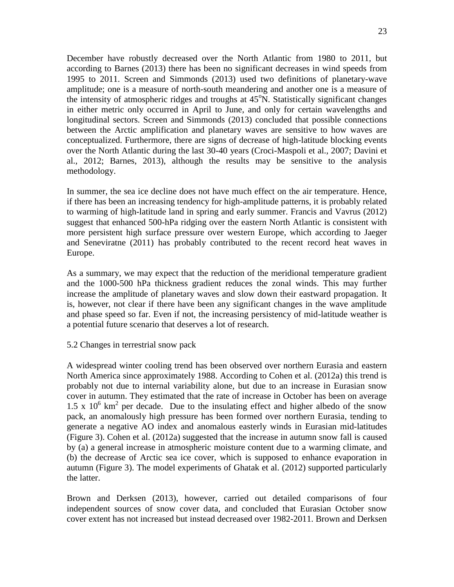December have robustly decreased over the North Atlantic from 1980 to 2011, but according to Barnes (2013) there has been no significant decreases in wind speeds from 1995 to 2011. Screen and Simmonds (2013) used two definitions of planetary-wave amplitude; one is a measure of north-south meandering and another one is a measure of the intensity of atmospheric ridges and troughs at  $45^{\circ}$ N. Statistically significant changes in either metric only occurred in April to June, and only for certain wavelengths and longitudinal sectors. Screen and Simmonds (2013) concluded that possible connections between the Arctic amplification and planetary waves are sensitive to how waves are conceptualized. Furthermore, there are signs of decrease of high-latitude blocking events over the North Atlantic during the last 30-40 years (Croci-Maspoli et al., 2007; Davini et al., 2012; Barnes, 2013), although the results may be sensitive to the analysis methodology.

In summer, the sea ice decline does not have much effect on the air temperature. Hence, if there has been an increasing tendency for high-amplitude patterns, it is probably related to warming of high-latitude land in spring and early summer. Francis and Vavrus (2012) suggest that enhanced 500-hPa ridging over the eastern North Atlantic is consistent with more persistent high surface pressure over western Europe, which according to Jaeger and Seneviratne (2011) has probably contributed to the recent record heat waves in Europe.

As a summary, we may expect that the reduction of the meridional temperature gradient and the 1000-500 hPa thickness gradient reduces the zonal winds. This may further increase the amplitude of planetary waves and slow down their eastward propagation. It is, however, not clear if there have been any significant changes in the wave amplitude and phase speed so far. Even if not, the increasing persistency of mid-latitude weather is a potential future scenario that deserves a lot of research.

## 5.2 Changes in terrestrial snow pack

A widespread winter cooling trend has been observed over northern Eurasia and eastern North America since approximately 1988. According to Cohen et al. (2012a) this trend is probably not due to internal variability alone, but due to an increase in Eurasian snow cover in autumn. They estimated that the rate of increase in October has been on average 1.5 x  $10^6$  km<sup>2</sup> per decade. Due to the insulating effect and higher albedo of the snow pack, an anomalously high pressure has been formed over northern Eurasia, tending to generate a negative AO index and anomalous easterly winds in Eurasian mid-latitudes (Figure 3). Cohen et al. (2012a) suggested that the increase in autumn snow fall is caused by (a) a general increase in atmospheric moisture content due to a warming climate, and (b) the decrease of Arctic sea ice cover, which is supposed to enhance evaporation in autumn (Figure 3). The model experiments of Ghatak et al. (2012) supported particularly the latter.

Brown and Derksen (2013), however, carried out detailed comparisons of four independent sources of snow cover data, and concluded that Eurasian October snow cover extent has not increased but instead decreased over 1982-2011. Brown and Derksen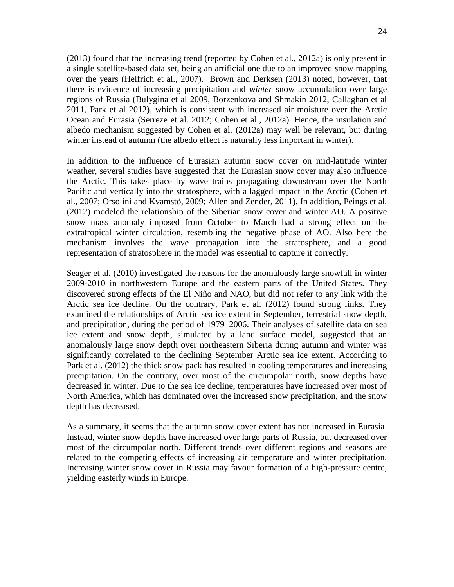(2013) found that the increasing trend (reported by Cohen et al., 2012a) is only present in a single satellite-based data set, being an artificial one due to an improved snow mapping over the years (Helfrich et al., 2007). Brown and Derksen (2013) noted, however, that there is evidence of increasing precipitation and *winter* snow accumulation over large regions of Russia (Bulygina et al 2009, Borzenkova and Shmakin 2012, Callaghan et al 2011, Park et al 2012), which is consistent with increased air moisture over the Arctic Ocean and Eurasia (Serreze et al. 2012; Cohen et al., 2012a). Hence, the insulation and albedo mechanism suggested by Cohen et al. (2012a) may well be relevant, but during winter instead of autumn (the albedo effect is naturally less important in winter).

In addition to the influence of Eurasian autumn snow cover on mid-latitude winter weather, several studies have suggested that the Eurasian snow cover may also influence the Arctic. This takes place by wave trains propagating downstream over the North Pacific and vertically into the stratosphere, with a lagged impact in the Arctic (Cohen et al., 2007; Orsolini and Kvamstö, 2009; Allen and Zender, 2011). In addition, Peings et al. (2012) modeled the relationship of the Siberian snow cover and winter AO. A positive snow mass anomaly imposed from October to March had a strong effect on the extratropical winter circulation, resembling the negative phase of AO. Also here the mechanism involves the wave propagation into the stratosphere, and a good representation of stratosphere in the model was essential to capture it correctly.

Seager et al. (2010) investigated the reasons for the anomalously large snowfall in winter 2009-2010 in northwestern Europe and the eastern parts of the United States. They discovered strong effects of the El Niño and NAO, but did not refer to any link with the Arctic sea ice decline. On the contrary, Park et al. (2012) found strong links. They examined the relationships of Arctic sea ice extent in September, terrestrial snow depth, and precipitation, during the period of 1979–2006. Their analyses of satellite data on sea ice extent and snow depth, simulated by a land surface model, suggested that an anomalously large snow depth over northeastern Siberia during autumn and winter was significantly correlated to the declining September Arctic sea ice extent. According to Park et al. (2012) the thick snow pack has resulted in cooling temperatures and increasing precipitation. On the contrary, over most of the circumpolar north, snow depths have decreased in winter. Due to the sea ice decline, temperatures have increased over most of North America, which has dominated over the increased snow precipitation, and the snow depth has decreased.

As a summary, it seems that the autumn snow cover extent has not increased in Eurasia. Instead, winter snow depths have increased over large parts of Russia, but decreased over most of the circumpolar north. Different trends over different regions and seasons are related to the competing effects of increasing air temperature and winter precipitation. Increasing winter snow cover in Russia may favour formation of a high-pressure centre, yielding easterly winds in Europe.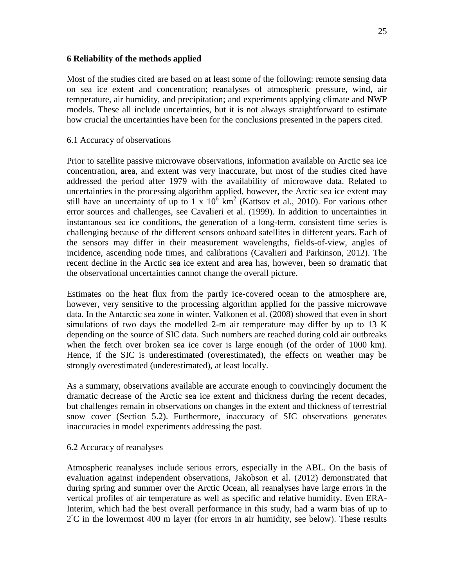## **6 Reliability of the methods applied**

Most of the studies cited are based on at least some of the following: remote sensing data on sea ice extent and concentration; reanalyses of atmospheric pressure, wind, air temperature, air humidity, and precipitation; and experiments applying climate and NWP models. These all include uncertainties, but it is not always straightforward to estimate how crucial the uncertainties have been for the conclusions presented in the papers cited.

## 6.1 Accuracy of observations

Prior to satellite passive microwave observations, information available on Arctic sea ice concentration, area, and extent was very inaccurate, but most of the studies cited have addressed the period after 1979 with the availability of microwave data. Related to uncertainties in the processing algorithm applied, however, the Arctic sea ice extent may still have an uncertainty of up to 1 x  $10^{6}$  km<sup>2</sup> (Kattsov et al., 2010). For various other error sources and challenges, see Cavalieri et al. (1999). In addition to uncertainties in instantanous sea ice conditions, the generation of a long-term, consistent time series is challenging because of the different sensors onboard satellites in different years. Each of the sensors may differ in their measurement wavelengths, fields-of-view, angles of incidence, ascending node times, and calibrations (Cavalieri and Parkinson, 2012). The recent decline in the Arctic sea ice extent and area has, however, been so dramatic that the observational uncertainties cannot change the overall picture.

Estimates on the heat flux from the partly ice-covered ocean to the atmosphere are, however, very sensitive to the processing algorithm applied for the passive microwave data. In the Antarctic sea zone in winter, Valkonen et al. (2008) showed that even in short simulations of two days the modelled 2-m air temperature may differ by up to  $13 \text{ K}$ depending on the source of SIC data. Such numbers are reached during cold air outbreaks when the fetch over broken sea ice cover is large enough (of the order of 1000 km). Hence, if the SIC is underestimated (overestimated), the effects on weather may be strongly overestimated (underestimated), at least locally.

As a summary, observations available are accurate enough to convincingly document the dramatic decrease of the Arctic sea ice extent and thickness during the recent decades, but challenges remain in observations on changes in the extent and thickness of terrestrial snow cover (Section 5.2). Furthermore, inaccuracy of SIC observations generates inaccuracies in model experiments addressing the past.

## 6.2 Accuracy of reanalyses

Atmospheric reanalyses include serious errors, especially in the ABL. On the basis of evaluation against independent observations, Jakobson et al. (2012) demonstrated that during spring and summer over the Arctic Ocean, all reanalyses have large errors in the vertical profiles of air temperature as well as specific and relative humidity. Even ERA-Interim, which had the best overall performance in this study, had a warm bias of up to 2°C in the lowermost 400 m layer (for errors in air humidity, see below). These results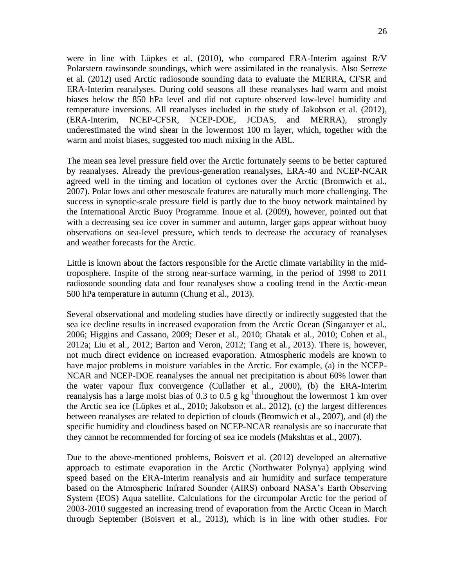26

were in line with Lüpkes et al. (2010), who compared ERA-Interim against R/V Polarstern rawinsonde soundings, which were assimilated in the reanalysis. Also Serreze et al. (2012) used Arctic radiosonde sounding data to evaluate the MERRA, CFSR and ERA-Interim reanalyses. During cold seasons all these reanalyses had warm and moist biases below the 850 hPa level and did not capture observed low-level humidity and temperature inversions. All reanalyses included in the study of Jakobson et al. (2012), (ERA-Interim, NCEP-CFSR, NCEP-DOE, JCDAS, and MERRA), strongly underestimated the wind shear in the lowermost 100 m layer, which, together with the warm and moist biases, suggested too much mixing in the ABL.

The mean sea level pressure field over the Arctic fortunately seems to be better captured by reanalyses. Already the previous-generation reanalyses, ERA-40 and NCEP-NCAR agreed well in the timing and location of cyclones over the Arctic (Bromwich et al., 2007). Polar lows and other mesoscale features are naturally much more challenging. The success in synoptic-scale pressure field is partly due to the buoy network maintained by the International Arctic Buoy Programme. Inoue et al. (2009), however, pointed out that with a decreasing sea ice cover in summer and autumn, larger gaps appear without buoy observations on sea-level pressure, which tends to decrease the accuracy of reanalyses and weather forecasts for the Arctic.

Little is known about the factors responsible for the Arctic climate variability in the midtroposphere. Inspite of the strong near-surface warming, in the period of 1998 to 2011 radiosonde sounding data and four reanalyses show a cooling trend in the Arctic-mean 500 hPa temperature in autumn (Chung et al., 2013).

Several observational and modeling studies have directly or indirectly suggested that the sea ice decline results in increased evaporation from the Arctic Ocean (Singarayer et al., 2006; Higgins and Cassano, 2009; Deser et al., 2010; Ghatak et al., 2010; Cohen et al., 2012a; Liu et al., 2012; Barton and Veron, 2012; Tang et al., 2013). There is, however, not much direct evidence on increased evaporation. Atmospheric models are known to have major problems in moisture variables in the Arctic. For example, (a) in the NCEP-NCAR and NCEP-DOE reanalyses the annual net precipitation is about 60% lower than the water vapour flux convergence (Cullather et al., 2000), (b) the ERA-Interim reanalysis has a large moist bias of 0.3 to 0.5 g  $kg^{-1}$ throughout the lowermost 1 km over the Arctic sea ice (Lüpkes et al., 2010; Jakobson et al., 2012), (c) the largest differences between reanalyses are related to depiction of clouds (Bromwich et al., 2007), and (d) the specific humidity and cloudiness based on NCEP-NCAR reanalysis are so inaccurate that they cannot be recommended for forcing of sea ice models (Makshtas et al., 2007).

Due to the above-mentioned problems, Boisvert et al. (2012) developed an alternative approach to estimate evaporation in the Arctic (Northwater Polynya) applying wind speed based on the ERA-Interim reanalysis and air humidity and surface temperature based on the Atmospheric Infrared Sounder (AIRS) onboard NASA's Earth Observing System (EOS) Aqua satellite. Calculations for the circumpolar Arctic for the period of 2003-2010 suggested an increasing trend of evaporation from the Arctic Ocean in March through September (Boisvert et al., 2013), which is in line with other studies. For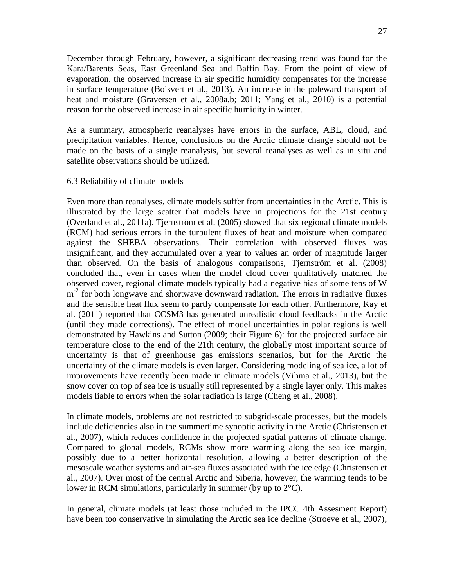December through February, however, a significant decreasing trend was found for the Kara/Barents Seas, East Greenland Sea and Baffin Bay. From the point of view of evaporation, the observed increase in air specific humidity compensates for the increase in surface temperature (Boisvert et al., 2013). An increase in the poleward transport of heat and moisture (Graversen et al., 2008a,b; 2011; Yang et al., 2010) is a potential reason for the observed increase in air specific humidity in winter.

As a summary, atmospheric reanalyses have errors in the surface, ABL, cloud, and precipitation variables. Hence, conclusions on the Arctic climate change should not be made on the basis of a single reanalysis, but several reanalyses as well as in situ and satellite observations should be utilized.

#### 6.3 Reliability of climate models

Even more than reanalyses, climate models suffer from uncertainties in the Arctic. This is illustrated by the large scatter that models have in projections for the 21st century (Overland et al., 2011a). Tjernström et al. (2005) showed that six regional climate models (RCM) had serious errors in the turbulent fluxes of heat and moisture when compared against the SHEBA observations. Their correlation with observed fluxes was insignificant, and they accumulated over a year to values an order of magnitude larger than observed. On the basis of analogous comparisons, Tjernström et al. (2008) concluded that, even in cases when the model cloud cover qualitatively matched the observed cover, regional climate models typically had a negative bias of some tens of W m<sup>-2</sup> for both longwave and shortwave downward radiation. The errors in radiative fluxes and the sensible heat flux seem to partly compensate for each other. Furthermore, Kay et al. (2011) reported that CCSM3 has generated unrealistic cloud feedbacks in the Arctic (until they made corrections). The effect of model uncertainties in polar regions is well demonstrated by Hawkins and Sutton (2009; their Figure 6): for the projected surface air temperature close to the end of the 21th century, the globally most important source of uncertainty is that of greenhouse gas emissions scenarios, but for the Arctic the uncertainty of the climate models is even larger. Considering modeling of sea ice, a lot of improvements have recently been made in climate models (Vihma et al., 2013), but the snow cover on top of sea ice is usually still represented by a single layer only. This makes models liable to errors when the solar radiation is large (Cheng et al., 2008).

In climate models, problems are not restricted to subgrid-scale processes, but the models include deficiencies also in the summertime synoptic activity in the Arctic (Christensen et al., 2007), which reduces confidence in the projected spatial patterns of climate change. Compared to global models, RCMs show more warming along the sea ice margin, possibly due to a better horizontal resolution, allowing a better description of the mesoscale weather systems and air-sea fluxes associated with the ice edge (Christensen et al., 2007). Over most of the central Arctic and Siberia, however, the warming tends to be lower in RCM simulations, particularly in summer (by up to 2°C).

In general, climate models (at least those included in the IPCC 4th Assesment Report) have been too conservative in simulating the Arctic sea ice decline (Stroeve et al., 2007),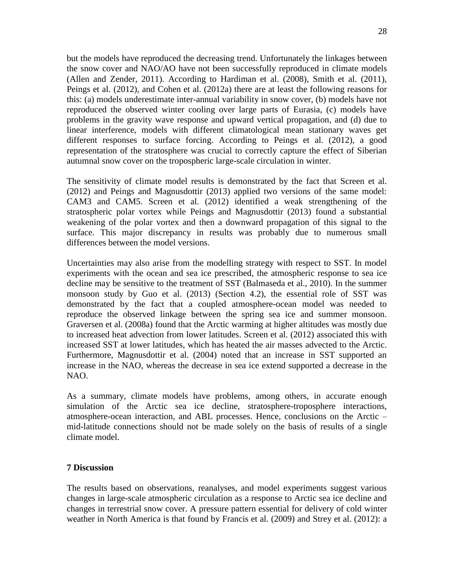but the models have reproduced the decreasing trend. Unfortunately the linkages between the snow cover and NAO/AO have not been successfully reproduced in climate models (Allen and Zender, 2011). According to Hardiman et al. (2008), Smith et al. (2011), Peings et al. (2012), and Cohen et al. (2012a) there are at least the following reasons for this: (a) models underestimate inter-annual variability in snow cover, (b) models have not reproduced the observed winter cooling over large parts of Eurasia, (c) models have problems in the gravity wave response and upward vertical propagation, and (d) due to linear interference, models with different climatological mean stationary waves get different responses to surface forcing. According to Peings et al. (2012), a good representation of the stratosphere was crucial to correctly capture the effect of Siberian autumnal snow cover on the tropospheric large-scale circulation in winter.

The sensitivity of climate model results is demonstrated by the fact that Screen et al. (2012) and Peings and Magnusdottir (2013) applied two versions of the same model: CAM3 and CAM5. Screen et al. (2012) identified a weak strengthening of the stratospheric polar vortex while Peings and Magnusdottir (2013) found a substantial weakening of the polar vortex and then a downward propagation of this signal to the surface. This major discrepancy in results was probably due to numerous small differences between the model versions.

Uncertainties may also arise from the modelling strategy with respect to SST. In model experiments with the ocean and sea ice prescribed, the atmospheric response to sea ice decline may be sensitive to the treatment of SST (Balmaseda et al., 2010). In the summer monsoon study by Guo et al. (2013) (Section 4.2), the essential role of SST was demonstrated by the fact that a coupled atmosphere-ocean model was needed to reproduce the observed linkage between the spring sea ice and summer monsoon. Graversen et al. (2008a) found that the Arctic warming at higher altitudes was mostly due to increased heat advection from lower latitudes. Screen et al. (2012) associated this with increased SST at lower latitudes, which has heated the air masses advected to the Arctic. Furthermore, Magnusdottir et al. (2004) noted that an increase in SST supported an increase in the NAO, whereas the decrease in sea ice extend supported a decrease in the NAO.

As a summary, climate models have problems, among others, in accurate enough simulation of the Arctic sea ice decline, stratosphere-troposphere interactions, atmosphere-ocean interaction, and ABL processes. Hence, conclusions on the Arctic – mid-latitude connections should not be made solely on the basis of results of a single climate model.

# **7 Discussion**

The results based on observations, reanalyses, and model experiments suggest various changes in large-scale atmospheric circulation as a response to Arctic sea ice decline and changes in terrestrial snow cover. A pressure pattern essential for delivery of cold winter weather in North America is that found by Francis et al. (2009) and Strey et al. (2012): a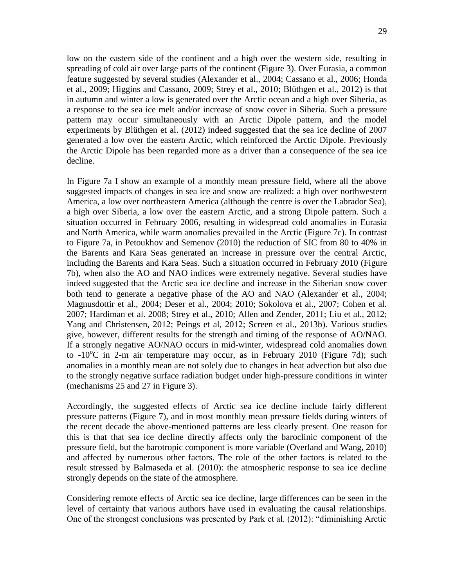low on the eastern side of the continent and a high over the western side, resulting in spreading of cold air over large parts of the continent (Figure 3). Over Eurasia, a common feature suggested by several studies (Alexander et al., 2004; Cassano et al., 2006; Honda et al., 2009; Higgins and Cassano, 2009; Strey et al., 2010; Blüthgen et al., 2012) is that in autumn and winter a low is generated over the Arctic ocean and a high over Siberia, as a response to the sea ice melt and/or increase of snow cover in Siberia. Such a pressure pattern may occur simultaneously with an Arctic Dipole pattern, and the model experiments by Blüthgen et al. (2012) indeed suggested that the sea ice decline of 2007 generated a low over the eastern Arctic, which reinforced the Arctic Dipole. Previously the Arctic Dipole has been regarded more as a driver than a consequence of the sea ice decline.

In Figure 7a I show an example of a monthly mean pressure field, where all the above suggested impacts of changes in sea ice and snow are realized: a high over northwestern America, a low over northeastern America (although the centre is over the Labrador Sea), a high over Siberia, a low over the eastern Arctic, and a strong Dipole pattern. Such a situation occurred in February 2006, resulting in widespread cold anomalies in Eurasia and North America, while warm anomalies prevailed in the Arctic (Figure 7c). In contrast to Figure 7a, in Petoukhov and Semenov (2010) the reduction of SIC from 80 to 40% in the Barents and Kara Seas generated an increase in pressure over the central Arctic, including the Barents and Kara Seas. Such a situation occurred in February 2010 (Figure 7b), when also the AO and NAO indices were extremely negative. Several studies have indeed suggested that the Arctic sea ice decline and increase in the Siberian snow cover both tend to generate a negative phase of the AO and NAO (Alexander et al., 2004; Magnusdottir et al., 2004; Deser et al., 2004; 2010; Sokolova et al., 2007; Cohen et al. 2007; Hardiman et al. 2008; Strey et al., 2010; Allen and Zender, 2011; Liu et al., 2012; Yang and Christensen, 2012; Peings et al, 2012; Screen et al., 2013b). Various studies give, however, different results for the strength and timing of the response of AO/NAO. If a strongly negative AO/NAO occurs in mid-winter, widespread cold anomalies down to  $-10^{\circ}$ C in 2-m air temperature may occur, as in February 2010 (Figure 7d); such anomalies in a monthly mean are not solely due to changes in heat advection but also due to the strongly negative surface radiation budget under high-pressure conditions in winter (mechanisms 25 and 27 in Figure 3).

Accordingly, the suggested effects of Arctic sea ice decline include fairly different pressure patterns (Figure 7), and in most monthly mean pressure fields during winters of the recent decade the above-mentioned patterns are less clearly present. One reason for this is that that sea ice decline directly affects only the baroclinic component of the pressure field, but the barotropic component is more variable (Overland and Wang, 2010) and affected by numerous other factors. The role of the other factors is related to the result stressed by Balmaseda et al. (2010): the atmospheric response to sea ice decline strongly depends on the state of the atmosphere.

Considering remote effects of Arctic sea ice decline, large differences can be seen in the level of certainty that various authors have used in evaluating the causal relationships. One of the strongest conclusions was presented by Park et al. (2012): "diminishing Arctic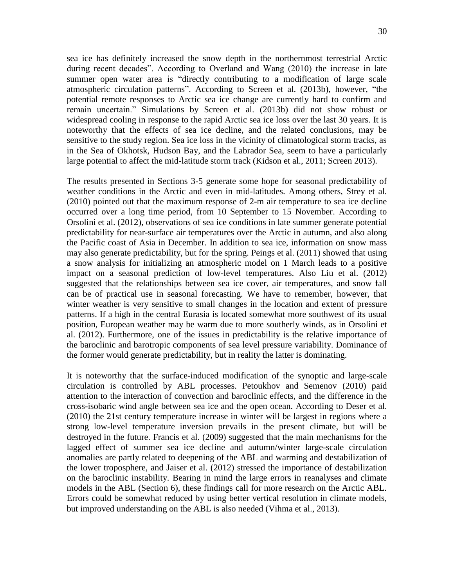sea ice has definitely increased the snow depth in the northernmost terrestrial Arctic during recent decades". According to Overland and Wang (2010) the increase in late summer open water area is "directly contributing to a modification of large scale atmospheric circulation patterns". According to Screen et al. (2013b), however, "the potential remote responses to Arctic sea ice change are currently hard to confirm and remain uncertain." Simulations by Screen et al. (2013b) did not show robust or widespread cooling in response to the rapid Arctic sea ice loss over the last 30 years. It is noteworthy that the effects of sea ice decline, and the related conclusions, may be sensitive to the study region. Sea ice loss in the vicinity of climatological storm tracks, as in the Sea of Okhotsk, Hudson Bay, and the Labrador Sea, seem to have a particularly large potential to affect the mid-latitude storm track (Kidson et al., 2011; Screen 2013).

The results presented in Sections 3-5 generate some hope for seasonal predictability of weather conditions in the Arctic and even in mid-latitudes. Among others, Strey et al. (2010) pointed out that the maximum response of 2-m air temperature to sea ice decline occurred over a long time period, from 10 September to 15 November. According to Orsolini et al. (2012), observations of sea ice conditions in late summer generate potential predictability for near-surface air temperatures over the Arctic in autumn, and also along the Pacific coast of Asia in December. In addition to sea ice, information on snow mass may also generate predictability, but for the spring. Peings et al. (2011) showed that using a snow analysis for initializing an atmospheric model on 1 March leads to a positive impact on a seasonal prediction of low-level temperatures. Also Liu et al. (2012) suggested that the relationships between sea ice cover, air temperatures, and snow fall can be of practical use in seasonal forecasting. We have to remember, however, that winter weather is very sensitive to small changes in the location and extent of pressure patterns. If a high in the central Eurasia is located somewhat more southwest of its usual position, European weather may be warm due to more southerly winds, as in Orsolini et al. (2012). Furthermore, one of the issues in predictability is the relative importance of the baroclinic and barotropic components of sea level pressure variability. Dominance of the former would generate predictability, but in reality the latter is dominating.

It is noteworthy that the surface-induced modification of the synoptic and large-scale circulation is controlled by ABL processes. Petoukhov and Semenov (2010) paid attention to the interaction of convection and baroclinic effects, and the difference in the cross-isobaric wind angle between sea ice and the open ocean. According to Deser et al. (2010) the 21st century temperature increase in winter will be largest in regions where a strong low-level temperature inversion prevails in the present climate, but will be destroyed in the future. Francis et al. (2009) suggested that the main mechanisms for the lagged effect of summer sea ice decline and autumn/winter large-scale circulation anomalies are partly related to deepening of the ABL and warming and destabilization of the lower troposphere, and Jaiser et al. (2012) stressed the importance of destabilization on the baroclinic instability. Bearing in mind the large errors in reanalyses and climate models in the ABL (Section 6), these findings call for more research on the Arctic ABL. Errors could be somewhat reduced by using better vertical resolution in climate models, but improved understanding on the ABL is also needed (Vihma et al., 2013).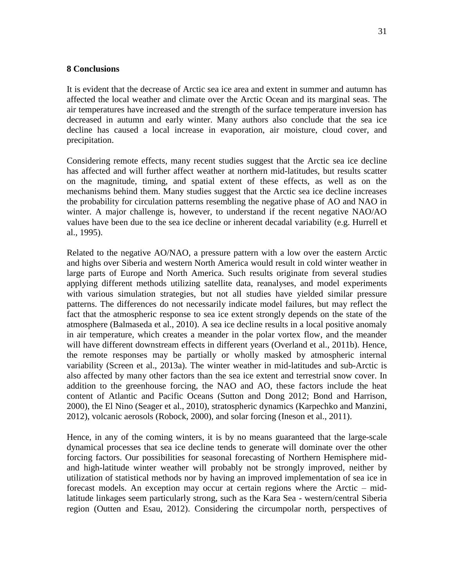#### **8 Conclusions**

It is evident that the decrease of Arctic sea ice area and extent in summer and autumn has affected the local weather and climate over the Arctic Ocean and its marginal seas. The air temperatures have increased and the strength of the surface temperature inversion has decreased in autumn and early winter. Many authors also conclude that the sea ice decline has caused a local increase in evaporation, air moisture, cloud cover, and precipitation.

Considering remote effects, many recent studies suggest that the Arctic sea ice decline has affected and will further affect weather at northern mid-latitudes, but results scatter on the magnitude, timing, and spatial extent of these effects, as well as on the mechanisms behind them. Many studies suggest that the Arctic sea ice decline increases the probability for circulation patterns resembling the negative phase of AO and NAO in winter. A major challenge is, however, to understand if the recent negative NAO/AO values have been due to the sea ice decline or inherent decadal variability (e.g. Hurrell et al., 1995).

Related to the negative AO/NAO, a pressure pattern with a low over the eastern Arctic and highs over Siberia and western North America would result in cold winter weather in large parts of Europe and North America. Such results originate from several studies applying different methods utilizing satellite data, reanalyses, and model experiments with various simulation strategies, but not all studies have yielded similar pressure patterns. The differences do not necessarily indicate model failures, but may reflect the fact that the atmospheric response to sea ice extent strongly depends on the state of the atmosphere (Balmaseda et al., 2010). A sea ice decline results in a local positive anomaly in air temperature, which creates a meander in the polar vortex flow, and the meander will have different downstream effects in different years (Overland et al., 2011b). Hence, the remote responses may be partially or wholly masked by atmospheric internal variability (Screen et al., 2013a). The winter weather in mid-latitudes and sub-Arctic is also affected by many other factors than the sea ice extent and terrestrial snow cover. In addition to the greenhouse forcing, the NAO and AO, these factors include the heat content of Atlantic and Pacific Oceans (Sutton and Dong 2012; Bond and Harrison, 2000), the El Nino (Seager et al., 2010), stratospheric dynamics (Karpechko and Manzini, 2012), volcanic aerosols (Robock, 2000), and solar forcing (Ineson et al., 2011).

Hence, in any of the coming winters, it is by no means guaranteed that the large-scale dynamical processes that sea ice decline tends to generate will dominate over the other forcing factors. Our possibilities for seasonal forecasting of Northern Hemisphere midand high-latitude winter weather will probably not be strongly improved, neither by utilization of statistical methods nor by having an improved implementation of sea ice in forecast models. An exception may occur at certain regions where the Arctic – midlatitude linkages seem particularly strong, such as the Kara Sea - western/central Siberia region (Outten and Esau, 2012). Considering the circumpolar north, perspectives of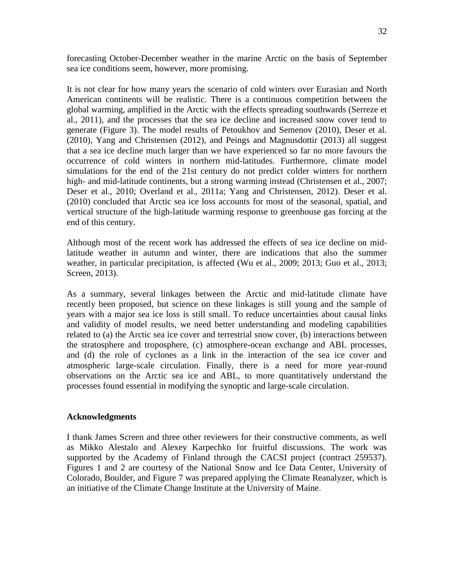forecasting October-December weather in the marine Arctic on the basis of September sea ice conditions seem, however, more promising.

It is not clear for how many years the scenario of cold winters over Eurasian and North American continents will be realistic. There is a continuous competition between the global warming, amplified in the Arctic with the effects spreading southwards (Serreze et al., 2011), and the processes that the sea ice decline and increased snow cover tend to generate (Figure 3). The model results of Petoukhov and Semenov (2010), Deser et al. (2010), Yang and Christensen (2012), and Peings and Magnusdottir (2013) all suggest that a sea ice decline much larger than we have experienced so far no more favours the occurrence of cold winters in northern mid-latitudes. Furthermore, climate model simulations for the end of the 21st century do not predict colder winters for northern high- and mid-latitude continents, but a strong warming instead (Christensen et al., 2007; Deser et al., 2010; Overland et al., 2011a; Yang and Christensen, 2012). Deser et al. (2010) concluded that Arctic sea ice loss accounts for most of the seasonal, spatial, and vertical structure of the high-latitude warming response to greenhouse gas forcing at the end of this century.

Although most of the recent work has addressed the effects of sea ice decline on midlatitude weather in autumn and winter, there are indications that also the summer weather, in particular precipitation, is affected (Wu et al., 2009; 2013; Guo et al., 2013; Screen, 2013).

As a summary, several linkages between the Arctic and mid-latitude climate have recently been proposed, but science on these linkages is still young and the sample of years with a major sea ice loss is still small. To reduce uncertainties about causal links and validity of model results, we need better understanding and modeling capabilities related to (a) the Arctic sea ice cover and terrestrial snow cover, (b) interactions between the stratosphere and troposphere, (c) atmosphere-ocean exchange and ABL processes, and (d) the role of cyclones as a link in the interaction of the sea ice cover and atmospheric large-scale circulation. Finally, there is a need for more year-round observations on the Arctic sea ice and ABL, to more quantitatively understand the processes found essential in modifying the synoptic and large-scale circulation.

## **Acknowledgments**

I thank James Screen and three other reviewers for their constructive comments, as well as Mikko Alestalo and Alexey Karpechko for fruitful discussions. The work was supported by the Academy of Finland through the CACSI project (contract 259537). Figures 1 and 2 are courtesy of the National Snow and Ice Data Center, University of Colorado, Boulder, and Figure 7 was prepared applying the Climate Reanalyzer, which is an initiative of the Climate Change Institute at the University of Maine.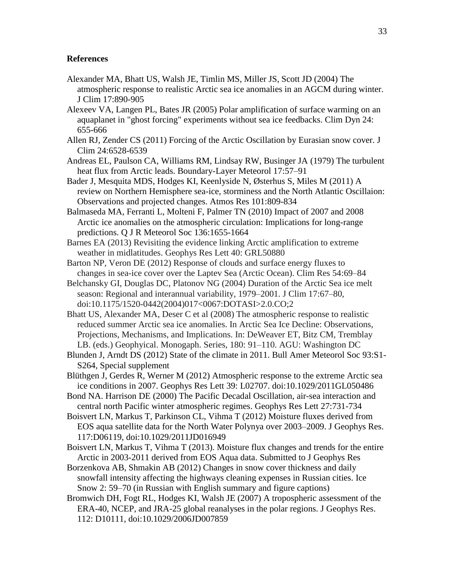#### **References**

- Alexander MA, Bhatt US, Walsh JE, Timlin MS, Miller JS, Scott JD (2004) The atmospheric response to realistic Arctic sea ice anomalies in an AGCM during winter. J Clim 17:890-905
- Alexeev VA, Langen PL, Bates JR (2005) Polar amplification of surface warming on an aquaplanet in "ghost forcing" experiments without sea ice feedbacks. Clim Dyn 24: 655-666
- Allen RJ, Zender CS (2011) Forcing of the Arctic Oscillation by Eurasian snow cover. J Clim 24:6528-6539
- Andreas EL, Paulson CA, Williams RM, Lindsay RW, Businger JA (1979) The turbulent heat flux from Arctic leads. Boundary-Layer Meteorol 17:57–91
- Bader J, Mesquita MDS, Hodges KI, Keenlyside N, Østerhus S, Miles M (2011) A review on Northern Hemisphere sea-ice, storminess and the North Atlantic Oscillaion: Observations and projected changes. Atmos Res 101:809-834
- Balmaseda MA, Ferranti L, Molteni F, Palmer TN (2010) Impact of 2007 and 2008 Arctic ice anomalies on the atmospheric circulation: Implications for long-range predictions. Q J R Meteorol Soc 136:1655-1664
- Barnes EA (2013) Revisiting the evidence linking Arctic amplification to extreme weather in midlatitudes. Geophys Res Lett 40: GRL50880
- Barton NP, Veron DE (2012) Response of clouds and surface energy fluxes to changes in sea-ice cover over the Laptev Sea (Arctic Ocean). Clim Res 54:69–84
- Belchansky GI, Douglas DC, Platonov NG (2004) Duration of the Arctic Sea ice melt season: Regional and interannual variability, 1979–2001. J Clim 17:67–80, doi:10.1175/1520-0442(2004)017<0067:DOTASI>2.0.CO;2
- Bhatt US, Alexander MA, Deser C et al (2008) The atmospheric response to realistic reduced summer Arctic sea ice anomalies. In Arctic Sea Ice Decline: Observations, Projections, Mechanisms, and Implications. In: DeWeaver ET, Bitz CM, Tremblay LB. (eds.) Geophyical. Monogaph. Series, 180: 91–110. AGU: Washington DC
- Blunden J, Arndt DS (2012) State of the climate in 2011. Bull Amer Meteorol Soc 93:S1- S264, Special supplement
- Blüthgen J, Gerdes R, Werner M (2012) Atmospheric response to the extreme Arctic sea ice conditions in 2007. Geophys Res Lett 39: L02707. doi:10.1029/2011GL050486
- Bond NA. Harrison DE (2000) The Pacific Decadal Oscillation, air-sea interaction and central north Pacific winter atmospheric regimes. Geophys Res Lett 27:731-734
- Boisvert LN, Markus T, Parkinson CL, Vihma T (2012) Moisture fluxes derived from EOS aqua satellite data for the North Water Polynya over 2003–2009. J Geophys Res. 117:D06119, doi:10.1029/2011JD016949
- Boisvert LN, Markus T, Vihma T (2013). Moisture flux changes and trends for the entire Arctic in 2003-2011 derived from EOS Aqua data. Submitted to J Geophys Res
- Borzenkova AB, Shmakin AB (2012) Changes in snow cover thickness and daily snowfall intensity affecting the highways cleaning expenses in Russian cities. Ice Snow 2: 59–70 (in Russian with English summary and figure captions)
- Bromwich DH, Fogt RL, Hodges KI, Walsh JE (2007) A tropospheric assessment of the ERA-40, NCEP, and JRA-25 global reanalyses in the polar regions. J Geophys Res. 112: D10111, doi:10.1029/2006JD007859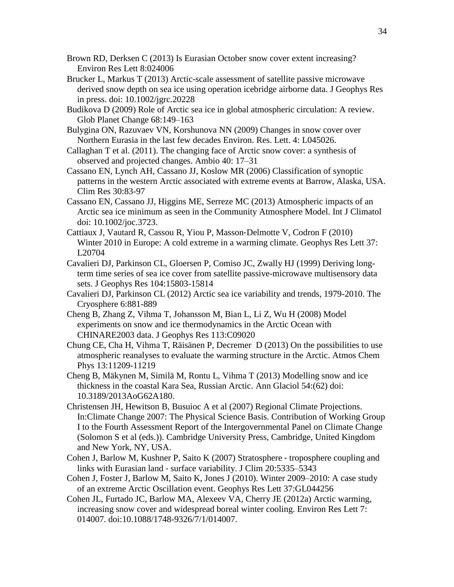- Brown RD, Derksen C (2013) Is Eurasian October snow cover extent increasing? Environ Res Lett 8:024006
- Brucker L, Markus T (2013) Arctic-scale assessment of satellite passive microwave derived snow depth on sea ice using operation icebridge airborne data. J Geophys Res in press. doi: 10.1002/jgrc.20228
- Budikova D (2009) Role of Arctic sea ice in global atmospheric circulation: A review. Glob Planet Change 68:149–163
- Bulygina ON, Razuvaev VN, Korshunova NN (2009) Changes in snow cover over Northern Eurasia in the last few decades Environ. Res. Lett. 4: L045026.
- Callaghan T et al. (2011). The changing face of Arctic snow cover: a synthesis of observed and projected changes. Ambio 40: 17–31
- Cassano EN, Lynch AH, Cassano JJ, Koslow MR (2006) Classification of synoptic patterns in the western Arctic associated with extreme events at Barrow, Alaska, USA. Clim Res 30:83-97
- Cassano EN, Cassano JJ, Higgins ME, Serreze MC (2013) Atmospheric impacts of an Arctic sea ice minimum as seen in the Community Atmosphere Model. Int J Climatol doi: 10.1002/joc.3723.
- Cattiaux J, Vautard R, Cassou R, Yiou P, Masson‐Delmotte V, Codron F (2010) Winter 2010 in Europe: A cold extreme in a warming climate. Geophys Res Lett 37: L20704
- Cavalieri DJ, Parkinson CL, Gloersen P, Comiso JC, Zwally HJ (1999) Deriving longterm time series of sea ice cover from satellite passive-microwave multisensory data sets. J Geophys Res 104:15803-15814
- Cavalieri DJ, Parkinson CL (2012) Arctic sea ice variability and trends, 1979-2010. The Cryosphere 6:881-889
- Cheng B, Zhang Z, Vihma T, Johansson M, Bian L, Li Z, Wu H (2008) Model experiments on snow and ice thermodynamics in the Arctic Ocean with CHINARE2003 data. J Geophys Res 113:C09020
- Chung CE, Cha H, Vihma T, Räisänen P, Decremer D (2013) On the possibilities to use atmospheric reanalyses to evaluate the warming structure in the Arctic. Atmos Chem Phys 13:11209-11219
- Cheng B, Mäkynen M, Similä M, Rontu L, Vihma T (2013) Modelling snow and ice thickness in the coastal Kara Sea, Russian Arctic. Ann Glaciol 54:(62) doi: 10.3189/2013AoG62A180.
- Christensen JH, Hewitson B, Busuioc A et al (2007) Regional Climate Projections. In:Climate Change 2007: The Physical Science Basis. Contribution of Working Group I to the Fourth Assessment Report of the Intergovernmental Panel on Climate Change (Solomon S et al (eds.)). Cambridge University Press, Cambridge, United Kingdom and New York, NY, USA.
- Cohen J, Barlow M, Kushner P, Saito K (2007) Stratosphere ‐ troposphere coupling and links with Eurasian land ‐ surface variability. J Clim 20:5335–5343
- Cohen J, Foster J, Barlow M, Saito K, Jones J (2010). Winter 2009–2010: A case study of an extreme Arctic Oscillation event. Geophys Res Lett 37:GL044256
- Cohen JL, Furtado JC, Barlow MA, Alexeev VA, Cherry JE (2012a) Arctic warming, increasing snow cover and widespread boreal winter cooling. Environ Res Lett 7: 014007. doi:10.1088/1748-9326/7/1/014007.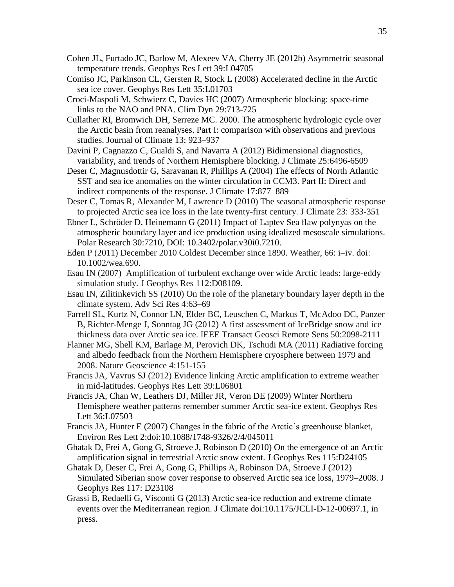- Cohen JL, Furtado JC, Barlow M, Alexeev VA, Cherry JE (2012b) Asymmetric seasonal temperature trends. Geophys Res Lett 39:L04705
- Comiso JC, Parkinson CL, Gersten R, Stock L (2008) Accelerated decline in the Arctic sea ice cover. Geophys Res Lett 35:L01703
- Croci-Maspoli M, Schwierz C, Davies HC (2007) Atmospheric blocking: space-time links to the NAO and PNA. Clim Dyn 29:713-725
- Cullather RI, Bromwich DH, Serreze MC. 2000. The atmospheric hydrologic cycle over the Arctic basin from reanalyses. Part I: comparison with observations and previous studies. Journal of Climate 13: 923–937
- Davini P, Cagnazzo C, Gualdi S, and Navarra A (2012) Bidimensional diagnostics, variability, and trends of Northern Hemisphere blocking. J Climate 25:6496-6509
- Deser C, Magnusdottir G, Saravanan R, Phillips A (2004) The effects of North Atlantic SST and sea ice anomalies on the winter circulation in CCM3. Part II: Direct and indirect components of the response. J Climate 17:877–889
- Deser C, Tomas R, Alexander M, Lawrence D (2010) The seasonal atmospheric response to projected Arctic sea ice loss in the late twenty-first century. J Climate 23: 333-351
- Ebner L, Schröder D, Heinemann G (2011) Impact of Laptev Sea flaw polynyas on the atmospheric boundary layer and ice production using idealized mesoscale simulations. Polar Research 30:7210, DOI: 10.3402/polar.v30i0.7210.
- Eden P (2011) December 2010 Coldest December since 1890. Weather, 66: i–iv. doi: 10.1002/wea.690.
- Esau IN (2007) Amplification of turbulent exchange over wide Arctic leads: large-eddy simulation study. J Geophys Res 112:D08109.
- Esau IN, Zilitinkevich SS (2010) On the role of the planetary boundary layer depth in the climate system. Adv Sci Res 4:63–69
- Farrell SL, Kurtz N, Connor LN, Elder BC, Leuschen C, Markus T, McAdoo DC, Panzer B, Richter-Menge J, Sonntag JG (2012) A first assessment of IceBridge snow and ice thickness data over Arctic sea ice. IEEE Transact Geosci Remote Sens 50:2098-2111
- Flanner MG, Shell KM, Barlage M, Perovich DK, Tschudi MA (2011) Radiative forcing and albedo feedback from the Northern Hemisphere cryosphere between 1979 and 2008. Nature Geoscience 4:151-155
- Francis JA, Vavrus SJ (2012) Evidence linking Arctic amplification to extreme weather in mid-latitudes. Geophys Res Lett 39:L06801
- Francis JA, Chan W, Leathers DJ, Miller JR, Veron DE (2009) Winter Northern Hemisphere weather patterns remember summer Arctic sea-ice extent. Geophys Res Lett 36:L07503
- Francis JA, Hunter E (2007) Changes in the fabric of the Arctic's greenhouse blanket, Environ Res Lett 2:doi:10.1088/1748-9326/2/4/045011
- Ghatak D, Frei A, Gong G, Stroeve J, Robinson D (2010) On the emergence of an Arctic amplification signal in terrestrial Arctic snow extent. J Geophys Res 115:D24105
- Ghatak D, Deser C, Frei A, Gong G, Phillips A, Robinson DA, Stroeve J (2012) Simulated Siberian snow cover response to observed Arctic sea ice loss, 1979–2008. J Geophys Res 117: D23108
- Grassi B, Redaelli G, Visconti G (2013) Arctic sea-ice reduction and extreme climate events over the Mediterranean region. J Climate doi:10.1175/JCLI-D-12-00697.1, in press.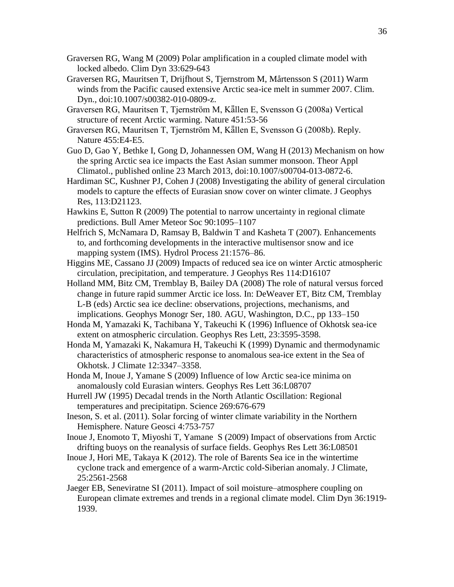- Graversen RG, Wang M (2009) Polar amplification in a coupled climate model with locked albedo. Clim Dyn 33:629-643
- Graversen RG, Mauritsen T, Drijfhout S, Tjernstrom M, Mårtensson S (2011) Warm winds from the Pacific caused extensive Arctic sea-ice melt in summer 2007. Clim. Dyn.*,* doi:10.1007/s00382-010-0809-z.
- Graversen RG, Mauritsen T, Tjernström M, Källen E, Svensson G (2008a) Vertical structure of recent Arctic warming. Nature 451:53-56
- Graversen RG, Mauritsen T, Tjernström M, Källen E, Svensson G (2008b). Reply. Nature 455:E4-E5.
- Guo D, Gao Y, Bethke I, Gong D, Johannessen OM, Wang H (2013) Mechanism on how the spring Arctic sea ice impacts the East Asian summer monsoon. Theor Appl Climatol., published online 23 March 2013, doi:10.1007/s00704-013-0872-6.
- Hardiman SC, Kushner PJ, Cohen J (2008) Investigating the ability of general circulation models to capture the effects of Eurasian snow cover on winter climate. J Geophys Res, 113:D21123.
- Hawkins E, Sutton R (2009) The potential to narrow uncertainty in regional climate predictions. Bull Amer Meteor Soc 90:1095–1107
- Helfrich S, McNamara D, Ramsay B, Baldwin T and Kasheta T (2007). Enhancements to, and forthcoming developments in the interactive multisensor snow and ice mapping system (IMS). Hydrol Process 21:1576–86.
- Higgins ME, Cassano JJ (2009) Impacts of reduced sea ice on winter Arctic atmospheric circulation, precipitation, and temperature. J Geophys Res 114:D16107
- Holland MM, Bitz CM, Tremblay B, Bailey DA (2008) The role of natural versus forced change in future rapid summer Arctic ice loss. In: DeWeaver ET, Bitz CM, Tremblay L-B (eds) Arctic sea ice decline: observations, projections, mechanisms, and implications. Geophys Monogr Ser, 180. AGU, Washington, D.C., pp 133–150
- Honda M, Yamazaki K, Tachibana Y, Takeuchi K (1996) Influence of Okhotsk sea-ice extent on atmospheric circulation. Geophys Res Lett, 23:3595-3598.
- Honda M, Yamazaki K, Nakamura H, Takeuchi K (1999) Dynamic and thermodynamic characteristics of atmospheric response to anomalous sea-ice extent in the Sea of Okhotsk. J Climate 12:3347–3358.
- Honda M, Inoue J, Yamane S (2009) Influence of low Arctic sea-ice minima on anomalously cold Eurasian winters. Geophys Res Lett 36:L08707
- Hurrell JW (1995) Decadal trends in the North Atlantic Oscillation: Regional temperatures and precipitatipn. Science 269:676-679
- Ineson, S. et al. (2011). Solar forcing of winter climate variability in the Northern Hemisphere. Nature Geosci 4:753-757
- Inoue J, Enomoto T, Miyoshi T, Yamane S (2009) Impact of observations from Arctic drifting buoys on the reanalysis of surface fields. Geophys Res Lett 36:L08501
- Inoue J, Hori ME, Takaya K (2012). The role of Barents Sea ice in the wintertime cyclone track and emergence of a warm-Arctic cold-Siberian anomaly. J Climate, 25:2561-2568
- Jaeger EB, Seneviratne SI (2011). Impact of soil moisture–atmosphere coupling on European climate extremes and trends in a regional climate model. Clim Dyn 36:1919- 1939.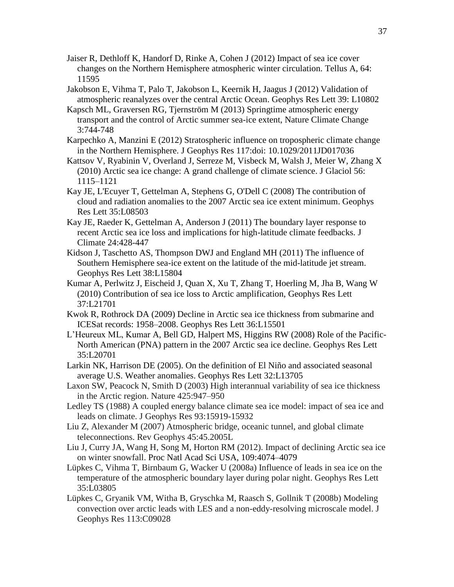- Jaiser R, Dethloff K, Handorf D, Rinke A, Cohen J (2012) Impact of sea ice cover changes on the Northern Hemisphere atmospheric winter circulation. Tellus A, 64: 11595
- Jakobson E, Vihma T, Palo T, Jakobson L, Keernik H, Jaagus J (2012) Validation of atmospheric reanalyzes over the central Arctic Ocean. Geophys Res Lett 39: L10802
- Kapsch ML, Graversen RG, Tjernström M (2013) Springtime atmospheric energy transport and the control of Arctic summer sea-ice extent, Nature Climate Change 3:744-748
- Karpechko A, Manzini E (2012) Stratospheric influence on tropospheric climate change in the Northern Hemisphere. J Geophys Res 117:doi: 10.1029/2011JD017036
- Kattsov V, Ryabinin V, Overland J, Serreze M, Visbeck M, Walsh J, Meier W, Zhang X (2010) Arctic sea ice change: A grand challenge of climate science. J Glaciol 56: 1115–1121
- Kay JE, L'Ecuyer T, Gettelman A, Stephens G, O'Dell C (2008) The contribution of cloud and radiation anomalies to the 2007 Arctic sea ice extent minimum. Geophys Res Lett 35:L08503
- Kay JE, Raeder K, Gettelman A, Anderson J (2011) The boundary layer response to recent Arctic sea ice loss and implications for high-latitude climate feedbacks. J Climate 24:428-447
- Kidson J, Taschetto AS, Thompson DWJ and England MH (2011) The influence of Southern Hemisphere sea-ice extent on the latitude of the mid-latitude jet stream. Geophys Res Lett 38:L15804
- Kumar A, Perlwitz J, Eischeid J, Quan X, Xu T, Zhang T, Hoerling M, Jha B, Wang W (2010) Contribution of sea ice loss to Arctic amplification, Geophys Res Lett 37:L21701
- Kwok R, Rothrock DA (2009) Decline in Arctic sea ice thickness from submarine and ICESat records: 1958–2008. Geophys Res Lett 36:L15501
- L'Heureux ML, Kumar A, Bell GD, Halpert MS, Higgins RW (2008) Role of the Pacific-North American (PNA) pattern in the 2007 Arctic sea ice decline. Geophys Res Lett 35:L20701
- Larkin NK, Harrison DE (2005). On the definition of El Niño and associated seasonal average U.S. Weather anomalies. Geophys Res Lett 32:L13705
- Laxon SW, Peacock N, Smith D (2003) High interannual variability of sea ice thickness in the Arctic region. Nature 425:947–950
- Ledley TS (1988) A coupled energy balance climate sea ice model: impact of sea ice and leads on climate. J Geophys Res 93:15919-15932
- Liu Z, Alexander M (2007) Atmospheric bridge, oceanic tunnel, and global climate teleconnections. Rev Geophys 45:45.2005L
- Liu J, Curry JA, Wang H, Song M, Horton RM (2012). Impact of declining Arctic sea ice on winter snowfall. Proc Natl Acad Sci USA, 109:4074–4079
- Lüpkes C, Vihma T, Birnbaum G, Wacker U (2008a) Influence of leads in sea ice on the temperature of the atmospheric boundary layer during polar night. Geophys Res Lett 35:L03805
- Lüpkes C, Gryanik VM, Witha B, Gryschka M, Raasch S, Gollnik T (2008b) Modeling convection over arctic leads with LES and a non-eddy-resolving microscale model. J Geophys Res 113:C09028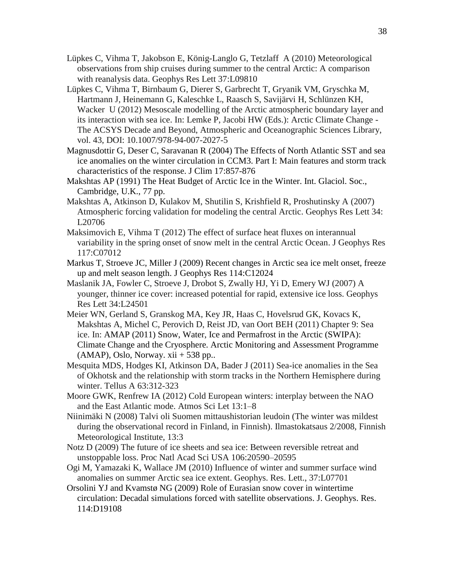- Lüpkes C, Vihma T, Jakobson E, König-Langlo G, Tetzlaff A (2010) Meteorological observations from ship cruises during summer to the central Arctic: A comparison with reanalysis data. Geophys Res Lett 37:L09810
- Lüpkes C, Vihma T, Birnbaum G, Dierer S, Garbrecht T, Gryanik VM, Gryschka M, Hartmann J, Heinemann G, Kaleschke L, Raasch S, Savijärvi H, Schlünzen KH, Wacker U (2012) Mesoscale modelling of the Arctic atmospheric boundary layer and its interaction with sea ice. In: Lemke P, Jacobi HW (Eds.): Arctic Climate Change - The ACSYS Decade and Beyond, Atmospheric and Oceanographic Sciences Library, vol. 43, DOI: 10.1007/978-94-007-2027-5
- Magnusdottir G, Deser C, Saravanan R (2004) The Effects of North Atlantic SST and sea ice anomalies on the winter circulation in CCM3. Part I: Main features and storm track characteristics of the response. J Clim 17:857-876
- Makshtas AP (1991) The Heat Budget of Arctic Ice in the Winter. Int. Glaciol. Soc., Cambridge, U.K., 77 pp.
- Makshtas A, Atkinson D, Kulakov M, Shutilin S, Krishfield R, Proshutinsky A (2007) Atmospheric forcing validation for modeling the central Arctic. Geophys Res Lett 34: L20706
- Maksimovich E, Vihma T (2012) The effect of surface heat fluxes on interannual variability in the spring onset of snow melt in the central Arctic Ocean. J Geophys Res 117:C07012
- Markus T, Stroeve JC, Miller J (2009) Recent changes in Arctic sea ice melt onset, freeze up and melt season length. J Geophys Res 114:C12024
- Maslanik JA, Fowler C, Stroeve J, Drobot S, Zwally HJ, Yi D, Emery WJ (2007) A younger, thinner ice cover: increased potential for rapid, extensive ice loss. Geophys Res Lett 34:L24501
- Meier WN, Gerland S, Granskog MA, Key JR, Haas C, Hovelsrud GK, Kovacs K, Makshtas A, Michel C, Perovich D, Reist JD, van Oort BEH (2011) Chapter 9: Sea ice. In: AMAP (2011) Snow, Water, Ice and Permafrost in the Arctic (SWIPA): Climate Change and the Cryosphere. Arctic Monitoring and Assessment Programme  $(AMAP)$ , Oslo, Norway. xii + 538 pp..
- Mesquita MDS, Hodges KI, Atkinson DA, Bader J (2011) Sea-ice anomalies in the Sea of Okhotsk and the relationship with storm tracks in the Northern Hemisphere during winter. Tellus A 63:312-323
- Moore GWK, Renfrew IA (2012) Cold European winters: interplay between the NAO and the East Atlantic mode. Atmos Sci Let 13:1–8
- Niinimäki N (2008) Talvi oli Suomen mittaushistorian leudoin (The winter was mildest during the observational record in Finland, in Finnish). Ilmastokatsaus 2/2008, Finnish Meteorological Institute, 13:3
- Notz D (2009) The future of ice sheets and sea ice: Between reversible retreat and unstoppable loss. Proc Natl Acad Sci USA 106:20590–20595
- Ogi M, Yamazaki K, Wallace JM (2010) Influence of winter and summer surface wind anomalies on summer Arctic sea ice extent. Geophys. Res. Lett., 37:L07701
- Orsolini YJ and Kvamstø NG (2009) Role of Eurasian snow cover in wintertime circulation: Decadal simulations forced with satellite observations. J. Geophys. Res. 114:D19108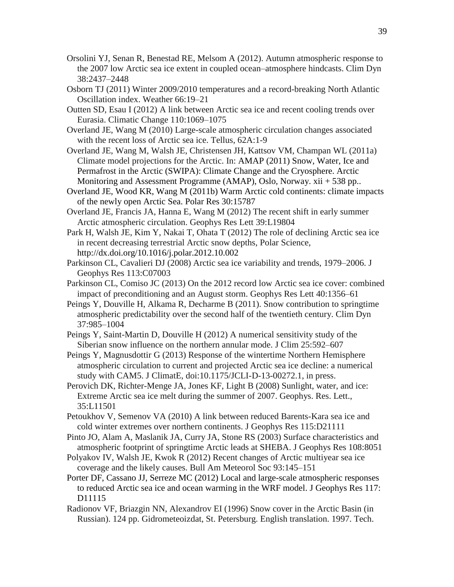- Orsolini YJ, Senan R, Benestad RE, Melsom A (2012). Autumn atmospheric response to the 2007 low Arctic sea ice extent in coupled ocean–atmosphere hindcasts. Clim Dyn 38:2437–2448
- Osborn TJ (2011) Winter 2009/2010 temperatures and a record-breaking North Atlantic Oscillation index. Weather 66:19–21
- Outten SD, Esau I (2012) A link between Arctic sea ice and recent cooling trends over Eurasia. Climatic Change 110:1069–1075
- Overland JE, Wang M (2010) Large-scale atmospheric circulation changes associated with the recent loss of Arctic sea ice. Tellus, 62A:1-9
- Overland JE, Wang M, Walsh JE, Christensen JH, Kattsov VM, Champan WL (2011a) Climate model projections for the Arctic. In: AMAP (2011) Snow, Water, Ice and Permafrost in the Arctic (SWIPA): Climate Change and the Cryosphere. Arctic Monitoring and Assessment Programme (AMAP), Oslo, Norway. xii + 538 pp..
- Overland JE, Wood KR, Wang M (2011b) Warm Arctic cold continents: climate impacts of the newly open Arctic Sea. Polar Res 30:15787
- Overland JE, Francis JA, Hanna E, Wang M (2012) The recent shift in early summer Arctic atmospheric circulation. Geophys Res Lett 39:L19804
- Park H, Walsh JE, Kim Y, Nakai T, Ohata T (2012) The role of declining Arctic sea ice in recent decreasing terrestrial Arctic snow depths, Polar Science, <http://dx.doi.org/10.1016/j.polar.2012.10.002>
- Parkinson CL, Cavalieri DJ (2008) Arctic sea ice variability and trends, 1979–2006. J Geophys Res 113:C07003
- Parkinson CL, Comiso JC (2013) On the 2012 record low Arctic sea ice cover: combined impact of preconditioning and an August storm. Geophys Res Lett 40:1356–61
- Peings Y, Douville H, Alkama R, Decharme B (2011). Snow contribution to springtime atmospheric predictability over the second half of the twentieth century. Clim Dyn 37:985–1004
- Peings Y, Saint-Martin D, Douville H (2012) A numerical sensitivity study of the Siberian snow influence on the northern annular mode. J Clim 25:592–607
- Peings Y, Magnusdottir G (2013) Response of the wintertime Northern Hemisphere atmospheric circulation to current and projected Arctic sea ice decline: a numerical study with CAM5. J ClimatE, doi:10.1175/JCLI-D-13-00272.1, in press.
- Perovich DK, Richter-Menge JA, Jones KF, Light B (2008) Sunlight, water, and ice: Extreme Arctic sea ice melt during the summer of 2007. Geophys. Res. Lett., 35:L11501
- Petoukhov V, Semenov VA (2010) A link between reduced Barents-Kara sea ice and cold winter extremes over northern continents. J Geophys Res 115:D21111
- Pinto JO, Alam A, Maslanik JA, Curry JA, Stone RS (2003) Surface characteristics and atmospheric footprint of springtime Arctic leads at SHEBA. J Geophys Res 108:8051
- Polyakov IV, Walsh JE, Kwok R (2012) Recent changes of Arctic multiyear sea ice coverage and the likely causes. Bull Am Meteorol Soc 93:145–151
- Porter DF, Cassano JJ, Serreze MC (2012) Local and large-scale atmospheric responses to reduced Arctic sea ice and ocean warming in the WRF model. J Geophys Res 117: D11115
- Radionov VF, Briazgin NN, Alexandrov EI (1996) Snow cover in the Arctic Basin (in Russian). 124 pp. Gidrometeoizdat, St. Petersburg. English translation. 1997. Tech.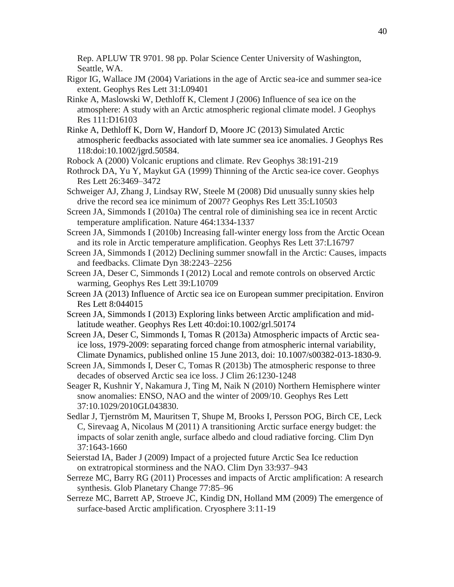Rep. APLUW TR 9701. 98 pp. Polar Science Center University of Washington, Seattle, WA.

- Rigor IG, Wallace JM (2004) Variations in the age of Arctic sea-ice and summer sea-ice extent. Geophys Res Lett 31:L09401
- Rinke A, Maslowski W, Dethloff K, Clement J (2006) Influence of sea ice on the atmosphere: A study with an Arctic atmospheric regional climate model. J Geophys Res 111:D16103
- Rinke A, Dethloff K, Dorn W, Handorf D, Moore JC (2013) Simulated Arctic atmospheric feedbacks associated with late summer sea ice anomalies. J Geophys Res 118:doi:10.1002/jgrd.50584.
- Robock A (2000) Volcanic eruptions and climate. Rev Geophys 38:191-219
- Rothrock DA, Yu Y, Maykut GA (1999) Thinning of the Arctic sea-ice cover. Geophys Res Lett 26:3469–3472
- Schweiger AJ, Zhang J, Lindsay RW, Steele M (2008) Did unusually sunny skies help drive the record sea ice minimum of 2007? Geophys Res Lett 35:L10503
- Screen JA, Simmonds I (2010a) The central role of diminishing sea ice in recent Arctic temperature amplification. Nature 464:1334-1337
- Screen JA, Simmonds I (2010b) Increasing fall-winter energy loss from the Arctic Ocean and its role in Arctic temperature amplification. Geophys Res Lett 37:L16797
- Screen JA, Simmonds I (2012) Declining summer snowfall in the Arctic: Causes, impacts and feedbacks. Climate Dyn 38:2243–2256
- Screen JA, Deser C, Simmonds I (2012) Local and remote controls on observed Arctic warming, Geophys Res Lett 39:L10709
- Screen JA (2013) Influence of Arctic sea ice on European summer precipitation. Environ Res Lett 8:044015
- Screen JA, Simmonds I (2013) Exploring links between Arctic amplification and midlatitude weather. Geophys Res Lett 40:doi:10.1002/grl.50174
- Screen JA, Deser C, Simmonds I, Tomas R (2013a) Atmospheric impacts of Arctic seaice loss, 1979-2009: separating forced change from atmospheric internal variability, Climate Dynamics*,* published online 15 June 2013, doi: 10.1007/s00382-013-1830-9.
- Screen JA, Simmonds I, Deser C, Tomas R (2013b) The atmospheric response to three decades of observed Arctic sea ice loss. J Clim 26:1230-1248
- Seager R, Kushnir Y, Nakamura J, Ting M, Naik N (2010) Northern Hemisphere winter snow anomalies: ENSO, NAO and the winter of 2009/10. Geophys Res Lett 37:10.1029/2010GL043830.
- Sedlar J, Tjernström M, Mauritsen T, Shupe M, Brooks I, Persson POG, Birch CE, Leck C, Sirevaag A, Nicolaus M (2011) A transitioning Arctic surface energy budget: the impacts of solar zenith angle, surface albedo and cloud radiative forcing. Clim Dyn 37:1643-1660
- Seierstad IA, Bader J (2009) Impact of a projected future Arctic Sea Ice reduction on extratropical storminess and the NAO. Clim Dyn 33:937–943
- Serreze MC, Barry RG (2011) Processes and impacts of Arctic amplification: A research synthesis. Glob Planetary Change 77:85–96
- Serreze MC, Barrett AP, Stroeve JC, Kindig DN, Holland MM (2009) The emergence of surface-based Arctic amplification. Cryosphere 3:11-19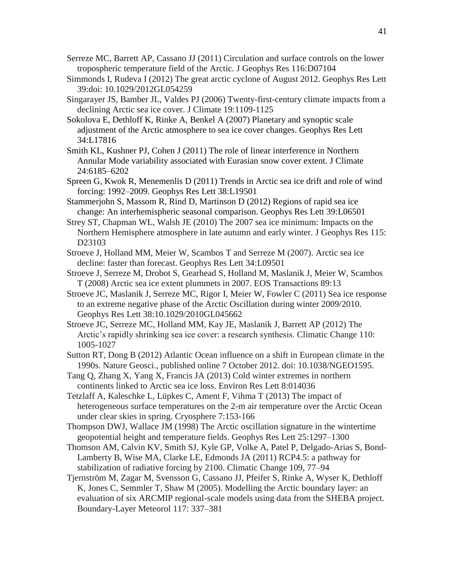- Serreze MC, Barrett AP, Cassano JJ (2011) Circulation and surface controls on the lower tropospheric temperature field of the Arctic. J Geophys Res 116:D07104
- Simmonds I, Rudeva I (2012) The great arctic cyclone of August 2012. Geophys Res Lett 39:doi: 10.1029/2012GL054259
- Singarayer JS, Bamber JL, Valdes PJ (2006) Twenty-first-century climate impacts from a declining Arctic sea ice cover. J Climate 19:1109-1125
- Sokolova E, Dethloff K, Rinke A, Benkel A (2007) Planetary and synoptic scale adjustment of the Arctic atmosphere to sea ice cover changes. Geophys Res Lett 34:L17816
- Smith KL, Kushner PJ, Cohen J (2011) The role of linear interference in Northern Annular Mode variability associated with Eurasian snow cover extent. J Climate 24:6185–6202
- Spreen G, Kwok R, Menemenlis D (2011) Trends in Arctic sea ice drift and role of wind forcing: 1992–2009. Geophys Res Lett 38:L19501
- Stammerjohn S, Massom R, Rind D, Martinson D (2012) Regions of rapid sea ice change: An interhemispheric seasonal comparison. Geophys Res Lett 39:L06501
- Strey ST, Chapman WL, Walsh JE (2010) The 2007 sea ice minimum: Impacts on the Northern Hemisphere atmosphere in late autumn and early winter. J Geophys Res 115: D23103
- Stroeve J, Holland MM, Meier W, Scambos T and Serreze M (2007). Arctic sea ice decline: faster than forecast. Geophys Res Lett 34:L09501
- Stroeve J, Serreze M, Drobot S, Gearhead S, Holland M, Maslanik J, Meier W, Scambos T (2008) Arctic sea ice extent plummets in 2007. EOS Transactions 89:13
- Stroeve JC, Maslanik J, Serreze MC, Rigor I, Meier W, Fowler C (2011) Sea ice response to an extreme negative phase of the Arctic Oscillation during winter 2009/2010. Geophys Res Lett 38:10.1029/2010GL045662
- Stroeve JC, Serreze MC, Holland MM, Kay JE, Maslanik J, Barrett AP (2012) The Arctic's rapidly shrinking sea ice cover: a research synthesis. Climatic Change 110: 1005-1027
- Sutton RT, Dong B (2012) Atlantic Ocean influence on a shift in European climate in the 1990s. Nature Geosci., published online 7 October 2012. doi: 10.1038/NGEO1595.
- Tang Q, Zhang X, Yang X, Francis JA (2013) Cold winter extremes in northern continents linked to Arctic sea ice loss. Environ Res Lett 8:014036
- Tetzlaff A, Kaleschke L, Lüpkes C, Ament F, Vihma T (2013) The impact of heterogeneous surface temperatures on the 2-m air temperature over the Arctic Ocean under clear skies in spring. Cryosphere 7:153-166
- Thompson DWJ, Wallace JM (1998) The Arctic oscillation signature in the wintertime geopotential height and temperature fields. Geophys Res Lett 25:1297–1300
- Thomson AM, Calvin KV, Smith SJ, Kyle GP, Volke A, Patel P, Delgado-Arias S, Bond-Lamberty B, Wise MA, Clarke LE, Edmonds JA (2011) RCP4.5: a pathway for stabilization of radiative forcing by 2100. Climatic Change 109, 77–94
- Tjernström M, Zagar M, Svensson G, Cassano JJ, Pfeifer S, Rinke A, Wyser K, Dethloff K, Jones C, Semmler T, Shaw M (2005). Modelling the Arctic boundary layer: an evaluation of six ARCMIP regional-scale models using data from the SHEBA project. Boundary-Layer Meteorol 117: 337–381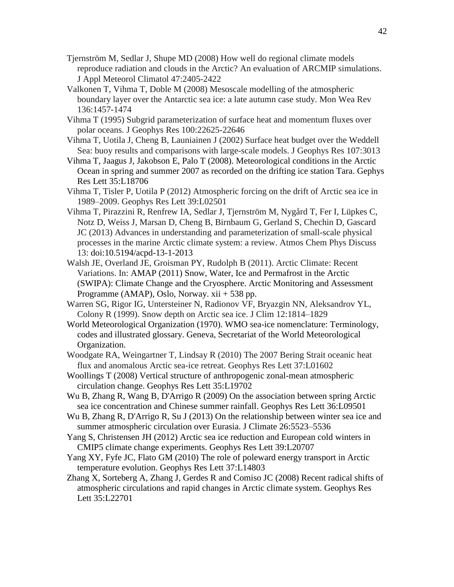- Tjernström M, Sedlar J, Shupe MD (2008) How well do regional climate models reproduce radiation and clouds in the Arctic? An evaluation of ARCMIP simulations. J Appl Meteorol Climatol 47:2405-2422
- Valkonen T, Vihma T, Doble M (2008) Mesoscale modelling of the atmospheric boundary layer over the Antarctic sea ice: a late autumn case study. Mon Wea Rev 136:1457-1474
- Vihma T (1995) Subgrid parameterization of surface heat and momentum fluxes over polar oceans. J Geophys Res 100:22625-22646
- Vihma T, Uotila J, Cheng B, Launiainen J (2002) Surface heat budget over the Weddell Sea: buoy results and comparisons with large-scale models. J Geophys Res 107:3013
- Vihma T, Jaagus J, Jakobson E, Palo T (2008). Meteorological conditions in the Arctic Ocean in spring and summer 2007 as recorded on the drifting ice station Tara. Gephys Res Lett 35:L18706
- Vihma T, Tisler P, Uotila P (2012) Atmospheric forcing on the drift of Arctic sea ice in 1989–2009. Geophys Res Lett 39:L02501
- Vihma T, Pirazzini R, Renfrew IA, Sedlar J, Tjernström M, Nygård T, Fer I, Lüpkes C, Notz D, Weiss J, Marsan D, Cheng B, Birnbaum G, Gerland S, Chechin D, Gascard JC (2013) Advances in understanding and parameterization of small-scale physical processes in the marine Arctic climate system: a review. Atmos Chem Phys Discuss 13: doi:10.5194/acpd-13-1-2013
- Walsh JE, Overland JE, Groisman PY, Rudolph B (2011). Arctic Climate: Recent Variations. In: AMAP (2011) Snow, Water, Ice and Permafrost in the Arctic (SWIPA): Climate Change and the Cryosphere. Arctic Monitoring and Assessment Programme (AMAP), Oslo, Norway. xii + 538 pp.
- Warren SG, Rigor IG, Untersteiner N, Radionov VF, Bryazgin NN, Aleksandrov YL, Colony R (1999). Snow depth on Arctic sea ice. J Clim 12:1814–1829
- World Meteorological Organization (1970). WMO sea-ice nomenclature: Terminology, codes and illustrated glossary. Geneva, Secretariat of the World Meteorological Organization.
- Woodgate RA, Weingartner T, Lindsay R (2010) The 2007 Bering Strait oceanic heat flux and anomalous Arctic sea-ice retreat. Geophys Res Lett 37:L01602
- Woollings T (2008) Vertical structure of anthropogenic zonal-mean atmospheric circulation change. Geophys Res Lett 35:L19702
- Wu B, Zhang R, Wang B, D'Arrigo R (2009) On the association between spring Arctic sea ice concentration and Chinese summer rainfall. Geophys Res Lett 36:L09501
- Wu B, Zhang R, D'Arrigo R, Su J (2013) On the relationship between winter sea ice and summer atmospheric circulation over Eurasia. J Climate 26:5523–5536
- Yang S, Christensen JH (2012) Arctic sea ice reduction and European cold winters in CMIP5 climate change experiments. Geophys Res Lett 39:L20707
- Yang XY, Fyfe JC, Flato GM (2010) The role of poleward energy transport in Arctic temperature evolution. Geophys Res Lett 37:L14803
- Zhang X, Sorteberg A, Zhang J, Gerdes R and Comiso JC (2008) Recent radical shifts of atmospheric circulations and rapid changes in Arctic climate system. Geophys Res Lett 35:L22701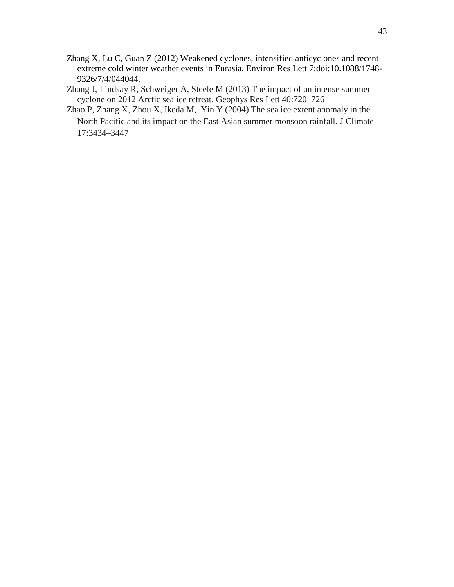- Zhang X, Lu C, Guan Z (2012) Weakened cyclones, intensified anticyclones and recent extreme cold winter weather events in Eurasia. Environ Res Lett 7:doi:10.1088/1748- 9326/7/4/044044.
- Zhang J, Lindsay R, Schweiger A, Steele M (2013) The impact of an intense summer cyclone on 2012 Arctic sea ice retreat. Geophys Res Lett 40:720–726
- Zhao P, Zhang X, Zhou X, Ikeda M, Yin Y (2004) The sea ice extent anomaly in the North Pacific and its impact on the East Asian summer monsoon rainfall. J Climate 17:3434–3447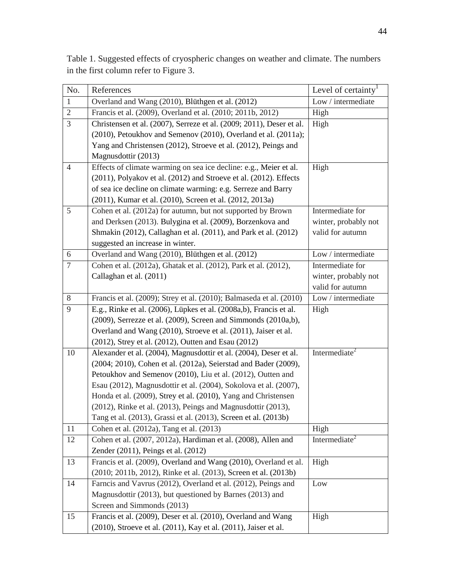| No.            | References                                                           | Level of certainty <sup>1</sup> |
|----------------|----------------------------------------------------------------------|---------------------------------|
| $\mathbf{1}$   | Overland and Wang (2010), Blüthgen et al. (2012)                     | Low / intermediate              |
| $\overline{2}$ | Francis et al. (2009), Overland et al. (2010; 2011b, 2012)           | High                            |
| $\mathfrak{Z}$ | Christensen et al. (2007), Serreze et al. (2009; 2011), Deser et al. | High                            |
|                | (2010), Petoukhov and Semenov (2010), Overland et al. (2011a);       |                                 |
|                | Yang and Christensen (2012), Stroeve et al. (2012), Peings and       |                                 |
|                | Magnusdottir (2013)                                                  |                                 |
| $\overline{4}$ | Effects of climate warming on sea ice decline: e.g., Meier et al.    | High                            |
|                | (2011), Polyakov et al. (2012) and Stroeve et al. (2012). Effects    |                                 |
|                | of sea ice decline on climate warming: e.g. Serreze and Barry        |                                 |
|                | (2011), Kumar et al. (2010), Screen et al. (2012, 2013a)             |                                 |
| 5              | Cohen et al. (2012a) for autumn, but not supported by Brown          | Intermediate for                |
|                | and Derksen (2013). Bulygina et al. (2009), Borzenkova and           | winter, probably not            |
|                | Shmakin (2012), Callaghan et al. (2011), and Park et al. (2012)      | valid for autumn                |
|                | suggested an increase in winter.                                     |                                 |
| 6              | Overland and Wang (2010), Blüthgen et al. (2012)                     | Low / intermediate              |
| $\overline{7}$ | Cohen et al. (2012a), Ghatak et al. (2012), Park et al. (2012),      | Intermediate for                |
|                | Callaghan et al. (2011)                                              | winter, probably not            |
|                |                                                                      | valid for autumn                |
| 8              | Francis et al. (2009); Strey et al. (2010); Balmaseda et al. (2010)  | Low / intermediate              |
| 9              | E.g., Rinke et al. (2006), Lüpkes et al. (2008a,b), Francis et al.   | High                            |
|                | (2009), Serrezze et al. (2009), Screen and Simmonds (2010a,b),       |                                 |
|                | Overland and Wang (2010), Stroeve et al. (2011), Jaiser et al.       |                                 |
|                | (2012), Strey et al. (2012), Outten and Esau (2012)                  |                                 |
| 10             | Alexander et al. (2004), Magnusdottir et al. (2004), Deser et al.    | Intermediate <sup>2</sup>       |
|                | (2004; 2010), Cohen et al. (2012a), Seierstad and Bader (2009),      |                                 |
|                | Petoukhov and Semenov (2010), Liu et al. (2012), Outten and          |                                 |
|                | Esau (2012), Magnusdottir et al. (2004), Sokolova et al. (2007),     |                                 |
|                | Honda et al. (2009), Strey et al. (2010), Yang and Christensen       |                                 |
|                | (2012), Rinke et al. (2013), Peings and Magnusdottir (2013),         |                                 |
|                | Tang et al. (2013), Grassi et al. (2013), Screen et al. (2013b)      |                                 |
| 11             | Cohen et al. (2012a), Tang et al. (2013)                             | High                            |
| 12             | Cohen et al. (2007, 2012a), Hardiman et al. (2008), Allen and        | Intermediate <sup>2</sup>       |
|                | Zender (2011), Peings et al. (2012)                                  |                                 |
| 13             | Francis et al. (2009), Overland and Wang (2010), Overland et al.     | High                            |
|                | (2010; 2011b, 2012), Rinke et al. (2013), Screen et al. (2013b)      |                                 |
| 14             | Farncis and Vavrus (2012), Overland et al. (2012), Peings and        | Low                             |
|                | Magnusdottir (2013), but questioned by Barnes (2013) and             |                                 |
|                | Screen and Simmonds (2013)                                           |                                 |
| 15             | Francis et al. (2009), Deser et al. (2010), Overland and Wang        | High                            |
|                | (2010), Stroeve et al. (2011), Kay et al. (2011), Jaiser et al.      |                                 |

Table 1. Suggested effects of cryospheric changes on weather and climate. The numbers in the first column refer to Figure 3.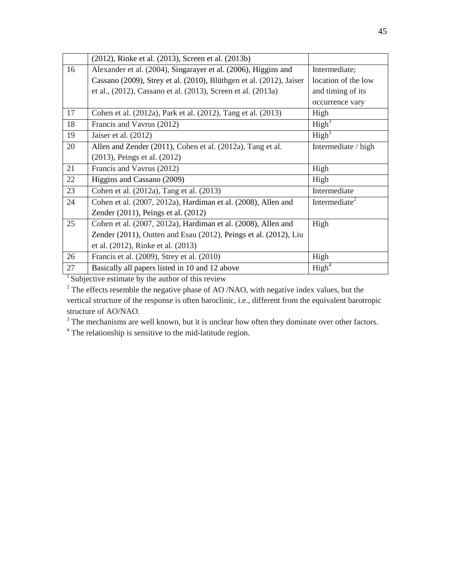|    | (2012), Rinke et al. (2013), Screen et al. (2013b)                  |                           |
|----|---------------------------------------------------------------------|---------------------------|
| 16 | Alexander et al. (2004), Singarayer et al. (2006), Higgins and      | Intermediate;             |
|    | Cassano (2009), Strey et al. (2010), Blüthgen et al. (2012), Jaiser | location of the low       |
|    | et al., (2012), Cassano et al. (2013), Screen et al. (2013a)        | and timing of its         |
|    |                                                                     | occurrence vary           |
| 17 | Cohen et al. (2012a), Park et al. (2012), Tang et al. (2013)        | High                      |
| 18 | Francis and Vavrus (2012)                                           | High <sup>3</sup>         |
| 19 | Jaiser et al. (2012)                                                | High <sup>3</sup>         |
| 20 | Allen and Zender (2011), Cohen et al. (2012a), Tang et al.          | Intermediate / high       |
|    | (2013), Peings et al. (2012)                                        |                           |
| 21 | Francis and Vavrus (2012)                                           | High                      |
| 22 | Higgins and Cassano (2009)                                          | High                      |
| 23 | Cohen et al. (2012a), Tang et al. (2013)                            | Intermediate              |
| 24 | Cohen et al. (2007, 2012a), Hardiman et al. (2008), Allen and       | Intermediate <sup>2</sup> |
|    | Zender (2011), Peings et al. (2012)                                 |                           |
| 25 | Cohen et al. (2007, 2012a), Hardiman et al. (2008), Allen and       | High                      |
|    | Zender (2011), Outten and Esau (2012), Peings et al. (2012), Liu    |                           |
|    | et al. (2012), Rinke et al. (2013)                                  |                           |
| 26 | Francis et al. (2009), Strey et al. (2010)                          | High                      |
| 27 | Basically all papers listed in 10 and 12 above                      | High <sup>4</sup>         |

 $1$  Subjective estimate by the author of this review

<sup>2</sup> The effects resemble the negative phase of AO /NAO, with negative index values, but the vertical structure of the response is often baroclinic, i.e., different from the equivalent barotropic structure of AO/NAO.

<sup>3</sup> The mechanisms are well known, but it is unclear how often they dominate over other factors.

<sup>4</sup> The relationship is sensitive to the mid-latitude region.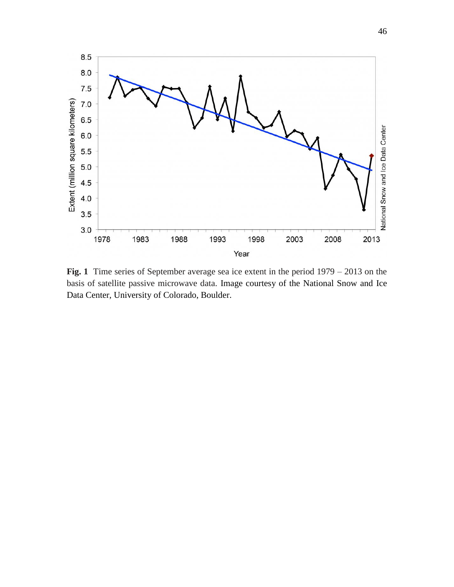

**Fig. 1** Time series of September average sea ice extent in the period 1979 – 2013 on the basis of satellite passive microwave data. Image courtesy of the National Snow and Ice Data Center, University of Colorado, Boulder.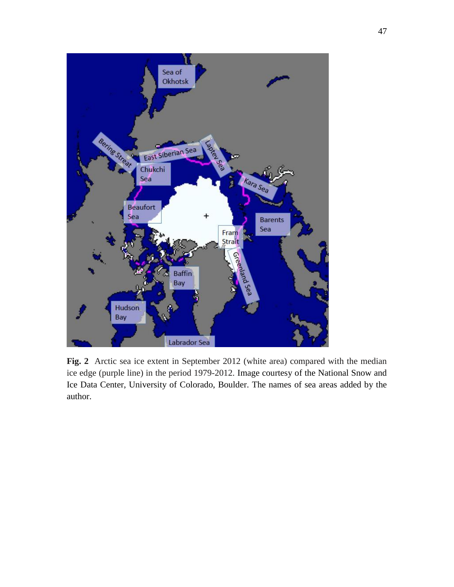

**Fig. 2** Arctic sea ice extent in September 2012 (white area) compared with the median ice edge (purple line) in the period 1979-2012. Image courtesy of the National Snow and Ice Data Center, University of Colorado, Boulder. The names of sea areas added by the author.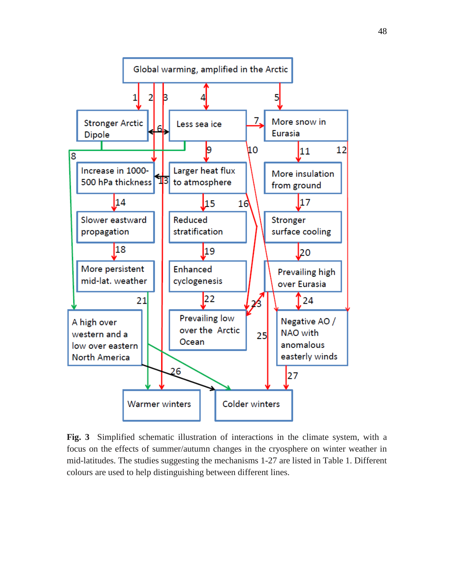

**Fig. 3** Simplified schematic illustration of interactions in the climate system, with a focus on the effects of summer/autumn changes in the cryosphere on winter weather in mid-latitudes. The studies suggesting the mechanisms 1-27 are listed in Table 1. Different colours are used to help distinguishing between different lines.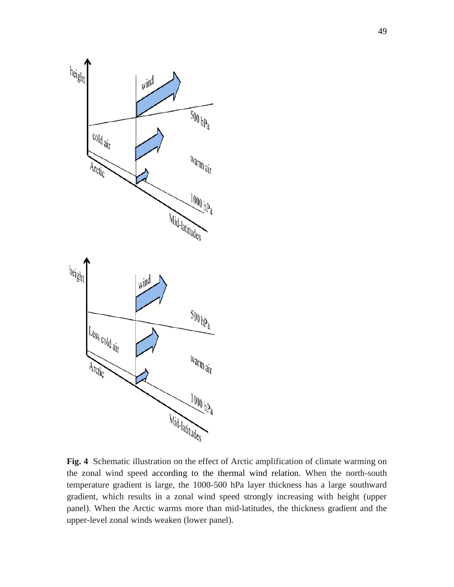

**Fig. 4** Schematic illustration on the effect of Arctic amplification of climate warming on the zonal wind speed according to the thermal wind relation. When the north-south temperature gradient is large, the 1000-500 hPa layer thickness has a large southward gradient, which results in a zonal wind speed strongly increasing with height (upper panel). When the Arctic warms more than mid-latitudes, the thickness gradient and the upper-level zonal winds weaken (lower panel).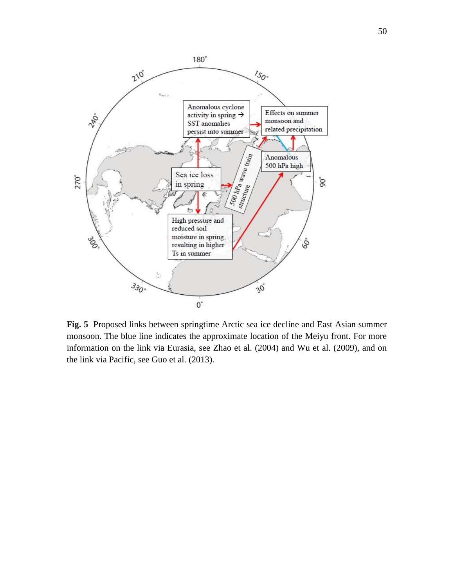

**Fig. 5** Proposed links between springtime Arctic sea ice decline and East Asian summer monsoon. The blue line indicates the approximate location of the Meiyu front. For more information on the link via Eurasia, see Zhao et al. (2004) and Wu et al. (2009), and on the link via Pacific, see Guo et al. (2013).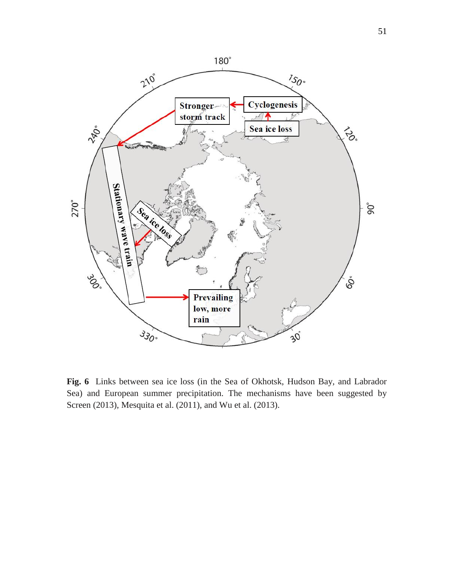

**Fig. 6** Links between sea ice loss (in the Sea of Okhotsk, Hudson Bay, and Labrador Sea) and European summer precipitation. The mechanisms have been suggested by Screen (2013), Mesquita et al. (2011), and Wu et al. (2013).